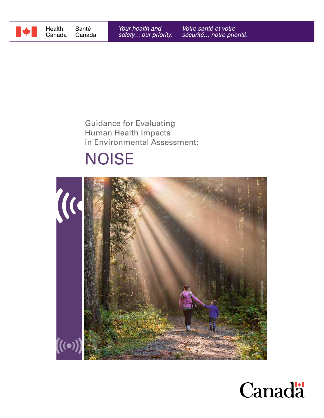

# Guidance for Evaluating Human Health Impacts in Environmental Assessment:

# **NOISE**



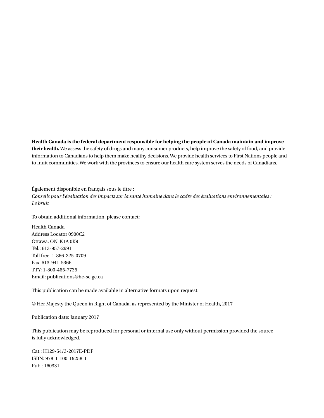**Health Canada is the federal department responsible for helping the people of Canada maintain and improve their health.** We assess the safety of drugs and many consumer products, help improve the safety of food, and provide information to Canadians to help them make healthy decisions. We provide health services to First Nations people and to Inuit communities. We work with the provinces to ensure our health care system serves the needs of Canadians.

Également disponible en français sous le titre : *Conseils pour l'évaluation des impacts sur la santé humaine dans le cadre des évaluations environnementales : Le bruit*

To obtain additional information, please contact:

Health Canada Address Locator 0900C2 Ottawa, ON K1A 0K9 Tel.: 613-957-2991 Toll free: 1-866-225-0709 Fax: 613-941-5366 TTY: 1-800-465-7735 Email: publications@hc-sc.gc.ca

This publication can be made available in alternative formats upon request.

© Her Majesty the Queen in Right of Canada, as represented by the Minister of Health, 2017

Publication date: January 2017

This publication may be reproduced for personal or internal use only without permission provided the source is fully acknowledged.

Cat.: H129-54/3-2017E-PDF ISBN: 978-1-100-19258-1 Pub.: 160331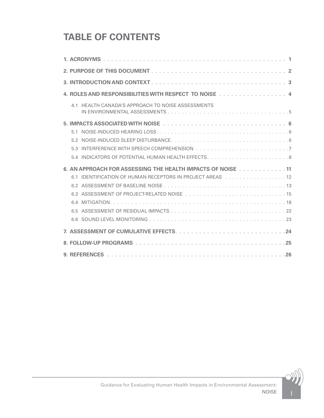# **TABLE OF CONTENTS**

| 4. ROLES AND RESPONSIBILITIES WITH RESPECT TO NOISE 4       |
|-------------------------------------------------------------|
| 4.1 HEALTH CANADA'S APPROACH TO NOISE ASSESSMENTS           |
|                                                             |
|                                                             |
|                                                             |
| 53                                                          |
| 54                                                          |
| 6. AN APPROACH FOR ASSESSING THE HEALTH IMPACTS OF NOISE 11 |
| 6.1 IDENTIFICATION OF HUMAN RECEPTORS IN PROJECT AREAS 12   |
|                                                             |
|                                                             |
|                                                             |
|                                                             |
|                                                             |
|                                                             |
|                                                             |
|                                                             |

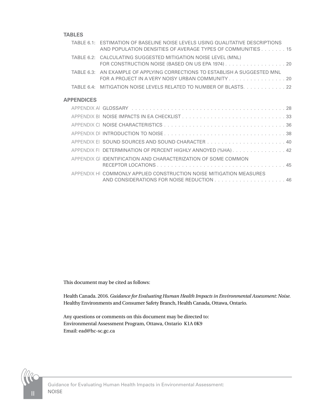#### **TABLES**

|                   | TABLE 6.1: ESTIMATION OF BASELINE NOISE LEVELS USING QUALITATIVE DESCRIPTIONS<br>AND POPULATION DENSITIES OF AVERAGE TYPES OF COMMUNITIES 15 |
|-------------------|----------------------------------------------------------------------------------------------------------------------------------------------|
|                   | TABLE 6.2: CALCULATING SUGGESTED MITIGATION NOISE LEVEL (MNL)<br>FOR CONSTRUCTION NOISE (BASED ON US EPA 1974) 20                            |
| TABLE 6.3:        | AN EXAMPLE OF APPLYING CORRECTIONS TO ESTABLISH A SUGGESTED MNL<br>FOR A PROJECT IN A VERY NOISY URBAN COMMUNITY 20                          |
|                   | TABLE 6.4: MITIGATION NOISE LEVELS RELATED TO NUMBER OF BLASTS. 22                                                                           |
| <b>APPENDICES</b> |                                                                                                                                              |
|                   |                                                                                                                                              |
|                   |                                                                                                                                              |
|                   |                                                                                                                                              |
|                   |                                                                                                                                              |
|                   |                                                                                                                                              |
|                   | APPENDIX FI DETERMINATION OF PERCENT HIGHLY ANNOYED (%HA). 42                                                                                |
|                   | APPENDIX GLIDENTIFICATION AND CHARACTERIZATION OF SOME COMMON                                                                                |
|                   | APPENDIX HI COMMONLY APPLIED CONSTRUCTION NOISE MITIGATION MEASURES                                                                          |

This document may be cited as follows:

Health Canada. 2016. *Guidance for Evaluating Human Health Impacts in Environmental Assessment: Noise*. Healthy Environments and Consumer Safety Branch, Health Canada, Ottawa, Ontario.

Any questions or comments on this document may be directed to: Environmental Assessment Program, Ottawa, Ontario K1A 0K9 Email: ead@hc-sc.gc.ca

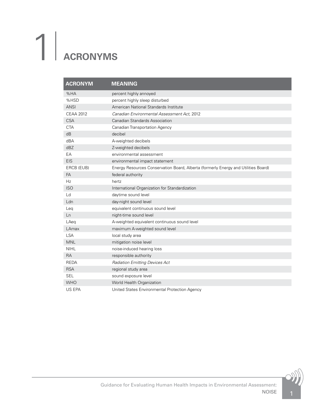# <span id="page-4-0"></span>1| **ACRONYMS**

| <b>ACRONYM</b>   | <b>MEANING</b>                                                                     |
|------------------|------------------------------------------------------------------------------------|
| %HA              | percent highly annoyed                                                             |
| %HSD             | percent highly sleep disturbed                                                     |
| <b>ANSI</b>      | American National Standards Institute                                              |
| <b>CEAA 2012</b> | Canadian Environmental Assessment Act, 2012                                        |
| <b>CSA</b>       | <b>Canadian Standards Association</b>                                              |
| <b>CTA</b>       | <b>Canadian Transportation Agency</b>                                              |
| dB               | decibel                                                                            |
| dBA              | A-weighted decibels                                                                |
| dBZ              | Z-weighted decibels                                                                |
| EA               | environmental assessment                                                           |
| <b>EIS</b>       | environmental impact statement                                                     |
| ERCB (EUB)       | Energy Resources Conservation Board, Alberta (formerly Energy and Utilities Board) |
| <b>FA</b>        | federal authority                                                                  |
| Hz               | hertz                                                                              |
| <b>ISO</b>       | International Organization for Standardization                                     |
| Ld               | daytime sound level                                                                |
| Ldn              | day-night sound level                                                              |
| Leg              | equivalent continuous sound level                                                  |
| Ln               | night-time sound level                                                             |
| LAeg             | A-weighted equivalent continuous sound level                                       |
| LAmax            | maximum A-weighted sound level                                                     |
| <b>LSA</b>       | local study area                                                                   |
| <b>MNL</b>       | mitigation noise level                                                             |
| <b>NIHL</b>      | noise-induced hearing loss                                                         |
| <b>RA</b>        | responsible authority                                                              |
| <b>REDA</b>      | <b>Radiation Emitting Devices Act</b>                                              |
| <b>RSA</b>       | regional study area                                                                |
| <b>SEL</b>       | sound exposure level                                                               |
| <b>WHO</b>       | World Health Organization                                                          |
| US EPA           | United States Environmental Protection Agency                                      |

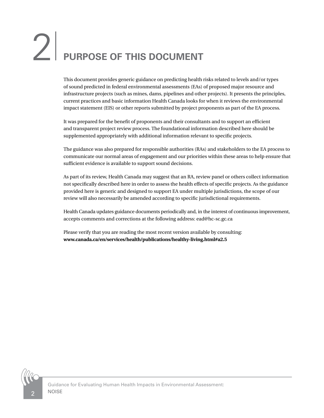# <span id="page-5-0"></span>2<sup>|</sup> **PURPOSE OF THIS DOCUMENT**

This document provides generic guidance on predicting health risks related to levels and/or types of sound predicted in federal environmental assessments (EAs) of proposed major resource and infrastructure projects (such as mines, dams, pipelines and other projects). It presents the principles, current practices and basic information Health Canada looks for when it reviews the environmental impact statement (EIS) or other reports submitted by project proponents as part of the EA process.

It was prepared for the benefit of proponents and their consultants and to support an efficient and transparent project review process. The foundational information described here should be supplemented appropriately with additional information relevant to specific projects.

The guidance was also prepared for responsible authorities (RAs) and stakeholders to the EA process to communicate our normal areas of engagement and our priorities within these areas to help ensure that sufficient evidence is available to support sound decisions.

As part of its review, Health Canada may suggest that an RA, review panel or others collect information not specifically described here in order to assess the health effects of specific projects. As the guidance provided here is generic and designed to support EA under multiple jurisdictions, the scope of our review will also necessarily be amended according to specific jurisdictional requirements.

Health Canada updates guidance documents periodically and, in the interest of continuous improvement, accepts comments and corrections at the following address: ead@hc-sc.gc.ca

Please verify that you are reading the most recent version available by consulting: **www.canada.ca/en/services/health/publications/healthy-living.html#a2.5**

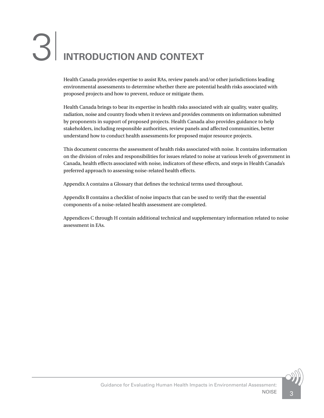# <span id="page-6-0"></span>3<sup>|</sup> **INTRODUCTION AND CONTEXT**

Health Canada provides expertise to assist RAs, review panels and/or other jurisdictions leading environmental assessments to determine whether there are potential health risks associated with proposed projects and how to prevent, reduce or mitigate them.

Health Canada brings to bear its expertise in health risks associated with air quality, water quality, radiation, noise and country foods when it reviews and provides comments on information submitted by proponents in support of proposed projects. Health Canada also provides guidance to help stakeholders, including responsible authorities, review panels and affected communities, better understand how to conduct health assessments for proposed major resource projects.

This document concerns the assessment of health risks associated with noise. It contains information on the division of roles and responsibilities for issues related to noise at various levels of government in Canada, health effects associated with noise, indicators of these effects, and steps in Health Canada's preferred approach to assessing noise-related health effects.

Appendix A contains a Glossary that defines the technical terms used throughout.

Appendix B contains a checklist of noise impacts that can be used to verify that the essential components of a noise-related health assessment are completed.

Appendices C through H contain additional technical and supplementary information related to noise assessment in EAs.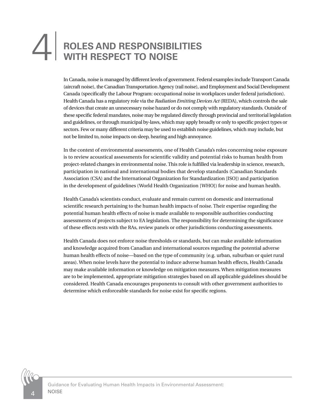# <span id="page-7-0"></span>**ROLES AND RESPONSIBILITIES** 4<sup>|</sup> **WITH RESPECT TO NOISE**

In Canada, noise is managed by different levels of government. Federal examples include Transport Canada (aircraft noise), the Canadian Transportation Agency (rail noise), and Employment and Social Development Canada (specifically the Labour Program: occupational noise in workplaces under federal jurisdiction). Health Canada has a regulatory role via the *Radiation Emitting Devices Act* (REDA), which controls the sale of devices that create an unnecessary noise hazard or do not comply with regulatory standards. Outside of these specific federal mandates, noise may be regulated directly through provincial and territorial legislation and guidelines, or through municipal by-laws, which may apply broadly or only to specific project types or sectors. Few or many different criteria may be used to establish noise guidelines, which may include, but not be limited to, noise impacts on sleep, hearing and high annoyance.

In the context of environmental assessments, one of Health Canada's roles concerning noise exposure is to review acoustical assessments for scientific validity and potential risks to human health from project-related changes in environmental noise. This role is fulfilled via leadership in science, research, participation in national and international bodies that develop standards (Canadian Standards Association (CSA) and the International Organization for Standardization [ISO]) and participation in the development of guidelines (World Health Organization [WHO]) for noise and human health.

Health Canada's scientists conduct, evaluate and remain current on domestic and international scientific research pertaining to the human health impacts of noise. Their expertise regarding the potential human health effects of noise is made available to responsible authorities conducting assessments of projects subject to EA legislation. The responsibility for determining the significance of these effects rests with the RAs, review panels or other jurisdictions conducting assessments.

Health Canada does not enforce noise thresholds or standards, but can make available information and knowledge acquired from Canadian and international sources regarding the potential adverse human health effects of noise—based on the type of community (e.g. urban, suburban or quiet rural areas). When noise levels have the potential to induce adverse human health effects, Health Canada may make available information or knowledge on mitigation measures. When mitigation measures are to be implemented, appropriate mitigation strategies based on all applicable guidelines should be considered. Health Canada encourages proponents to consult with other government authorities to determine which enforceable standards for noise exist for specific regions.

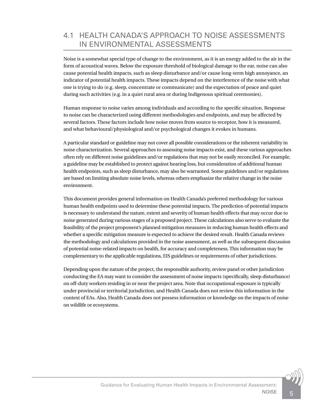# <span id="page-8-0"></span>4.1 HEALTH CANADA'S APPROACH TO NOISE ASSESSMENTS IN ENVIRONMENTAL ASSESSMENTS

Noise is a somewhat special type of change to the environment, as it is an energy added to the air in the form of acoustical waves. Below the exposure threshold of biological damage to the ear, noise can also cause potential health impacts, such as sleep disturbance and/or cause long-term high annoyance, an indicator of potential health impacts. These impacts depend on the interference of the noise with what one is trying to do (e.g. sleep, concentrate or communicate) and the expectation of peace and quiet during such activities (e.g. in a quiet rural area or during Indigenous spiritual ceremonies).

Human response to noise varies among individuals and according to the specific situation. Response to noise can be characterized using different methodologies and endpoints, and may be affected by several factors. These factors include how noise moves from source to receptor, how it is measured, and what behavioural/physiological and/or psychological changes it evokes in humans.

A particular standard or guideline may not cover all possible considerations or the inherent variability in noise characterization. Several approaches to assessing noise impacts exist, and these various approaches often rely on different noise guidelines and/or regulations that may not be easily reconciled. For example, a guideline may be established to protect against hearing loss, but consideration of additional human health endpoints, such as sleep disturbance, may also be warranted. Some guidelines and/or regulations are based on limiting absolute noise levels, whereas others emphasize the relative change in the noise environment.

This document provides general information on Health Canada's preferred methodology for various human health endpoints used to determine these potential impacts. The prediction of potential impacts is necessary to understand the nature, extent and severity of human health effects that may occur due to noise generated during various stages of a proposed project. These calculations also serve to evaluate the feasibility of the project proponent's planned mitigation measures in reducing human health effects and whether a specific mitigation measure is expected to achieve the desired result. Health Canada reviews the methodology and calculations provided in the noise assessment, as well as the subsequent discussion of potential noise-related impacts on health, for accuracy and completeness. This information may be complementary to the applicable regulations, EIS guidelines or requirements of other jurisdictions.

Depending upon the nature of the project, the responsible authority, review panel or other jurisdiction conducting the EA may want to consider the assessment of noise impacts (specifically, sleep disturbance) on off-duty workers residing in or near the project area. Note that occupational exposure is typically under provincial or territorial jurisdiction, and Health Canada does not review this information in the context of EAs. Also, Health Canada does not possess information or knowledge on the impacts of noise on wildlife or ecosystems.

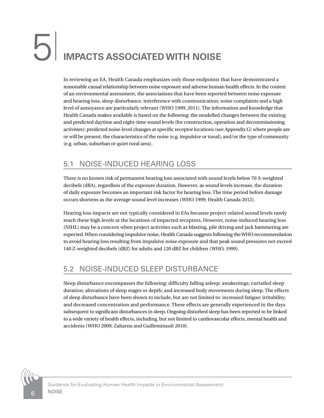# <span id="page-9-0"></span>5<sup>|</sup> **IMPACTS ASSOCIATED WITH NOISE**

In reviewing an EA, Health Canada emphasizes only those endpoints that have demonstrated a reasonable causal relationship between noise exposure and adverse human health effects. In the context of an environmental assessment, the associations that have been reported between noise exposure and hearing loss, sleep disturbance, interference with communication, noise complaints and a high level of annoyance are particularly relevant (WHO 1999, 2011). The information and knowledge that Health Canada makes available is based on the following: the modelled changes between the existing and predicted daytime and night-time sound levels (for construction, operation and decommissioning activities); predicted noise-level changes at specific receptor locations (see Appendix G) where people are or will be present; the characteristics of the noise (e.g. impulsive or tonal); and/or the type of community (e.g. urban, suburban or quiet rural area).

# 5.1 NOISE-INDUCED HEARING LOSS

There is no known risk of permanent hearing loss associated with sound levels below 70 A-weighted decibels (dBA), regardless of the exposure duration. However, as sound levels increase, the duration of daily exposure becomes an important risk factor for hearing loss. The time period before damage occurs shortens as the average sound level increases (WHO 1999; Health Canada 2012).

Hearing loss impacts are not typically considered in EAs because project-related sound levels rarely reach these high levels at the locations of impacted receptors. However, noise-induced hearing loss (NIHL) may be a concern when project activities such as blasting, pile driving and jack hammering are expected. When considering impulsive noise, Health Canada suggests following the WHO recommendation to avoid hearing loss resulting from impulsive noise exposure and that peak sound pressures not exceed 140 Z-weighted decibels (dBZ) for adults and 120 dBZ for children (WHO, 1999).

### 5.2 NOISE-INDUCED SLEEP DISTURBANCE

Sleep disturbance encompasses the following: difficulty falling asleep; awakenings; curtailed sleep duration; alterations of sleep stages or depth; and increased body movements during sleep. The effects of sleep disturbance have been shown to include, but are not limited to: increased fatigue; irritability; and decreased concentration and performance. These effects are generally experienced in the days subsequent to significant disturbances in sleep. Ongoing disturbed sleep has been reported to be linked to a wide variety of health effects, including, but not limited to cardiovascular effects, mental health and accidents (WHO 2009; Zaharna and Guilleminault 2010).

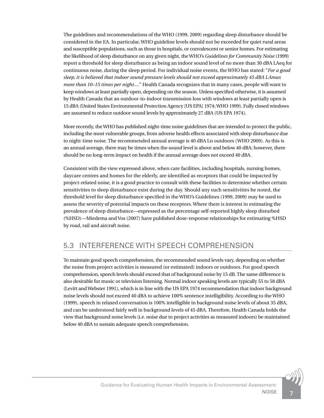<span id="page-10-0"></span>The guidelines and recommendations of the WHO (1999, 2009) regarding sleep disturbance should be considered in the EA. In particular, WHO guideline levels should not be exceeded for quiet rural areas and susceptible populations, such as those in hospitals, or convalescent or senior homes. For estimating the likelihood of sleep disturbance on any given night, the WHO's *Guidelines for Community Noise* (1999) report a threshold for sleep disturbance as being an indoor sound level of no more than 30 dBA LAeq for continuous noise, during the sleep period. For individual noise events, the WHO has stated: "*For a good sleep, it is believed that indoor sound pressure levels should not exceed approximately 45 dBA LAmax more than 10–15 times per night....*" Health Canada recognizes that in many cases, people will want to keep windows at least partially open, depending on the season. Unless specified otherwise, it is assumed by Health Canada that an outdoor-to-indoor transmission loss with windows at least partially open is 15 dBA (United States Environmental Protection Agency [US EPA] 1974; WHO 1999). Fully closed windows are assumed to reduce outdoor sound levels by approximately 27 dBA (US EPA 1974).

More recently, the WHO has published night-time noise guidelines that are intended to protect the public, including the most vulnerable groups, from adverse health effects associated with sleep disturbance due to night-time noise. The recommended annual average is 40 dBA Ln outdoors (WHO 2009). As this is an annual average, there may be times when the sound level is above and below 40 dBA; however, there should be no long-term impact on health if the annual average does not exceed 40 dBA.

Consistent with the view expressed above, when care facilities, including hospitals, nursing homes, daycare centres and homes for the elderly, are identified as receptors that could be impacted by project-related noise, it is a good practice to consult with these facilities to determine whether certain sensitivities to sleep disturbance exist during the day. Should any such sensitivities be noted, the threshold level for sleep disturbance specified in the WHO's Guidelines (1999, 2009) may be used to assess the severity of potential impacts on these receptors. Where there is interest in estimating the prevalence of sleep disturbance—expressed as the percentage self-reported highly sleep disturbed (%HSD)—Miedema and Vos (2007) have published dose-response relationships for estimating %HSD by road, rail and aircraft noise.

#### 5.3 INTERFERENCE WITH SPEECH COMPREHENSION

To maintain good speech comprehension, the recommended sound levels vary, depending on whether the noise from project activities is measured (or estimated) indoors or outdoors. For good speech comprehension, speech levels should exceed that of background noise by 15 dB. The same difference is also desirable for music or television listening. Normal indoor speaking levels are typically 55 to 58 dBA (Levitt and Webster 1991), which is in line with the US EPA 1974 recommendation that indoor background noise levels should not exceed 40 dBA to achieve 100% sentence intelligibility. According to the WHO (1999), speech in relaxed conversation is 100% intelligible in background noise levels of about 35 dBA, and can be understood fairly well in background levels of 45 dBA. Therefore, Health Canada holds the view that background noise levels (i.e. noise due to project activities as measured indoors) be maintained below 40 dBA to sustain adequate speech comprehension.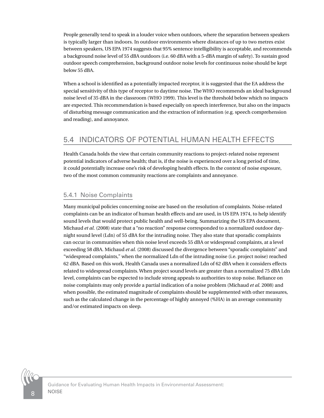<span id="page-11-0"></span>People generally tend to speak in a louder voice when outdoors, where the separation between speakers is typically larger than indoors. In outdoor environments where distances of up to two metres exist between speakers, US EPA 1974 suggests that 95% sentence intelligibility is acceptable, and recommends a background noise level of 55 dBA outdoors (i.e. 60 dBA with a 5-dBA margin of safety). To sustain good outdoor speech comprehension, background outdoor noise levels for continuous noise should be kept below 55 dBA.

When a school is identified as a potentially impacted receptor, it is suggested that the EA address the special sensitivity of this type of receptor to daytime noise. The WHO recommends an ideal background noise level of 35 dBA in the classroom (WHO 1999). This level is the threshold below which no impacts are expected. This recommendation is based especially on speech interference, but also on the impacts of disturbing message communication and the extraction of information (e.g. speech comprehension and reading), and annoyance.

# 5.4 INDICATORS OF POTENTIAL HUMAN HEALTH EFFECTS

Health Canada holds the view that certain community reactions to project-related noise represent potential indicators of adverse health; that is, if the noise is experienced over a long period of time, it could potentially increase one's risk of developing health effects. In the context of noise exposure, two of the most common community reactions are complaints and annoyance.

#### 5.4.1 Noise Complaints

Many municipal policies concerning noise are based on the resolution of complaints. Noise-related complaints can be an indicator of human health effects and are used, in US EPA 1974, to help identify sound levels that would protect public health and well-being. Summarizing the US EPA document, Michaud *et al.* (2008) state that a "no reaction" response corresponded to a normalized outdoor daynight sound level (Ldn) of 55 dBA for the intruding noise. They also state that sporadic complaints can occur in communities when this noise level exceeds 55 dBA or widespread complaints, at a level exceeding 58 dBA. Michaud *et al.* (2008) discussed the divergence between "sporadic complaints" and "widespread complaints," when the normalized Ldn of the intruding noise (i.e. project noise) reached 62 dBA. Based on this work, Health Canada uses a normalized Ldn of 62 dBA when it considers effects related to widespread complaints. When project sound levels are greater than a normalized 75 dBA Ldn level, complaints can be expected to include strong appeals to authorities to stop noise. Reliance on noise complaints may only provide a partial indication of a noise problem (Michaud *et al.* 2008) and when possible, the estimated magnitude of complaints should be supplemented with other measures, such as the calculated change in the percentage of highly annoyed (%HA) in an average community and/or estimated impacts on sleep.

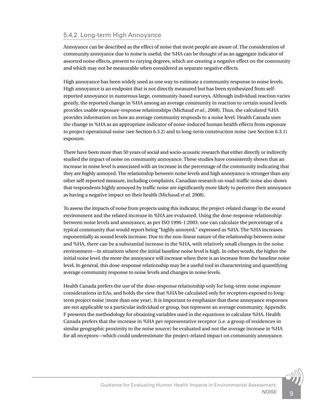#### 5.4.2 Long-term High Annoyance

Annoyance can be described as the effect of noise that most people are aware of. The consideration of community annoyance due to noise is useful; the %HA can be thought of as an aggregate indicator of assorted noise effects, present to varying degrees, which are creating a negative effect on the community and which may not be measurable when considered as separate negative effects.

High annoyance has been widely used as one way to estimate a community response to noise levels. High annoyance is an endpoint that is not directly measured but has been synthesized from selfreported annoyance in numerous large, community-based surveys. Although individual reaction varies greatly, the reported change in %HA among an average community in reaction to certain sound levels provides usable exposure-response relationships (Michaud *et al.*, 2008). Thus, the calculated %HA provides information on how an average community responds to a noise level. Health Canada uses the change in %HA as an appropriate indicator of noise-induced human health effects from exposure to project operational noise (see Section 6.3.2) and to long-term construction noise (see Section 6.3.1) exposure.

There have been more than 50 years of social and socio-acoustic research that either directly or indirectly studied the impact of noise on community annoyance. These studies have consistently shown that an increase in noise level is associated with an increase in the percentage of the community indicating that they are highly annoyed. The relationship between noise levels and high annoyance is stronger than any other self-reported measure, including complaints. Canadian research on road-traffic noise also shows that respondents highly annoyed by traffic noise are significantly more likely to perceive their annoyance as having a negative impact on their health (Michaud *et al.* 2008).

To assess the impacts of noise from projects using this indicator, the project-related change in the sound environment and the related increase in %HA are evaluated. Using the dose-response relationship between noise levels and annoyance, as per ISO 1996-1:2003, one can calculate the percentage of a typical community that would report being "highly annoyed," expressed as %HA. The %HA increases exponentially as sound levels increase. Due to the non-linear nature of the relationship between noise and %HA, there can be a substantial increase in the %HA, with relatively small changes in the noise environment—in situations where the initial baseline noise level is high. In other words, the higher the initial noise level, the more the annoyance will increase when there is an increase from the baseline noise level. In general, this dose-response relationship may be a useful tool in characterizing and quantifying average community response to noise levels and changes in noise levels.

Health Canada prefers the use of the dose-response relationship only for long-term noise exposure considerations in EAs, and holds the view that %HA be calculated only for receptors exposed to longterm project noise (more than one year). It is important to emphasize that these annoyance responses are not applicable to a particular individual or group, but represent an average community. Appendix F presents the methodology for obtaining variables used in the equations to calculate %HA. Health Canada prefers that the increase in %HA per representative receptor (i.e. a group of residences in similar geographic proximity to the noise source) be evaluated and not the average increase in %HA for all receptors—which could underestimate the project-related impact on community annoyance.

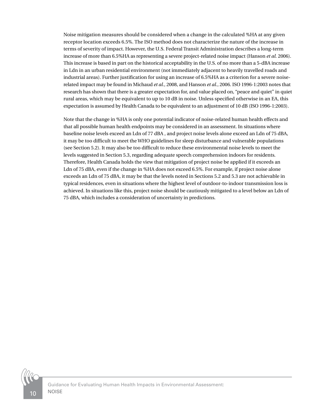Noise mitigation measures should be considered when a change in the calculated %HA at any given receptor location exceeds 6.5%. The ISO method does not characterize the nature of the increase in terms of severity of impact. However, the U.S. Federal Transit Administration describes a long-term increase of more than 6.5%HA as representing a severe project-related noise impact (Hanson *et al.* 2006). This increase is based in part on the historical acceptability in the U.S. of no more than a 5-dBA increase in Ldn in an urban residential environment (not immediately adjacent to heavily travelled roads and industrial areas). Further justification for using an increase of 6.5%HA as a criterion for a severe noiserelated impact may be found in Michaud *et al.*, 2008, and Hanson *et al.*, 2006. ISO 1996-1:2003 notes that research has shown that there is a greater expectation for, and value placed on, "peace and quiet" in quiet rural areas, which may be equivalent to up to 10 dB in noise. Unless specified otherwise in an EA, this expectation is assumed by Health Canada to be equivalent to an adjustment of 10 dB (ISO 1996-1:2003).

Note that the change in %HA is only one potential indicator of noise-related human health effects and that all possible human health endpoints may be considered in an assessment. In situations where baseline noise levels exceed an Ldn of 77 dBA , and project noise levels alone exceed an Ldn of 75 dBA, it may be too difficult to meet the WHO guidelines for sleep disturbance and vulnerable populations (see Section 5.2). It may also be too difficult to reduce these environmental noise levels to meet the levels suggested in Section 5.3, regarding adequate speech comprehension indoors for residents. Therefore, Health Canada holds the view that mitigation of project noise be applied if it exceeds an Ldn of 75 dBA, even if the change in %HA does not exceed 6.5%. For example, if project noise alone exceeds an Ldn of 75 dBA, it may be that the levels noted in Sections 5.2 and 5.3 are not achievable in typical residences, even in situations where the highest level of outdoor-to-indoor transmission loss is achieved. In situations like this, project noise should be cautiously mitigated to a level below an Ldn of 75 dBA, which includes a consideration of uncertainty in predictions.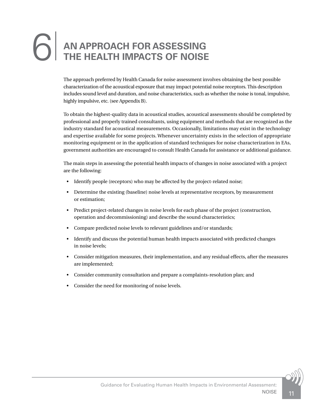# <span id="page-14-0"></span>**AN APPROACH FOR ASSESSING<br>THE HEALTH IMPACTS OF NOISE**

The approach preferred by Health Canada for noise assessment involves obtaining the best possible characterization of the acoustical exposure that may impact potential noise receptors. This description includes sound level and duration, and noise characteristics, such as whether the noise is tonal, impulsive, highly impulsive, etc. (see Appendix B).

To obtain the highest-quality data in acoustical studies, acoustical assessments should be completed by professional and properly trained consultants, using equipment and methods that are recognized as the industry standard for acoustical measurements. Occasionally, limitations may exist in the technology and expertise available for some projects. Whenever uncertainty exists in the selection of appropriate monitoring equipment or in the application of standard techniques for noise characterization in EAs, government authorities are encouraged to consult Health Canada for assistance or additional guidance.

The main steps in assessing the potential health impacts of changes in noise associated with a project are the following:

- Identify people (receptors) who may be affected by the project-related noise;
- Determine the existing (baseline) noise levels at representative receptors, by measurement or estimation;
- Predict project-related changes in noise levels for each phase of the project (construction, operation and decommissioning) and describe the sound characteristics;
- Compare predicted noise levels to relevant guidelines and/or standards;
- Identify and discuss the potential human health impacts associated with predicted changes in noise levels;
- Consider mitigation measures, their implementation, and any residual effects, after the measures are implemented;
- Consider community consultation and prepare a complaints-resolution plan; and
- Consider the need for monitoring of noise levels.

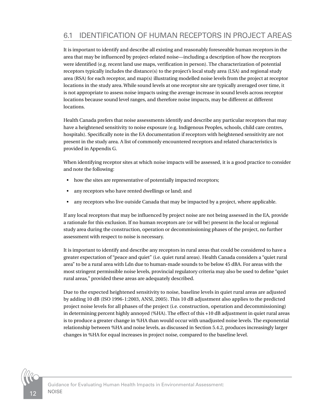# <span id="page-15-0"></span>6.1 IDENTIFICATION OF HUMAN RECEPTORS IN PROJECT AREAS

It is important to identify and describe all existing and reasonably foreseeable human receptors in the area that may be influenced by project-related noise—including a description of how the receptors were identified (e.g. recent land use maps, verification in person). The characterization of potential receptors typically includes the distance(s) to the project's local study area (LSA) and regional study area (RSA) for each receptor, and map(s) illustrating modelled noise levels from the project at receptor locations in the study area. While sound levels at one receptor site are typically averaged over time, it is not appropriate to assess noise impacts using the average increase in sound levels across receptor locations because sound level ranges, and therefore noise impacts, may be different at different locations.

Health Canada prefers that noise assessments identify and describe any particular receptors that may have a heightened sensitivity to noise exposure (e.g. Indigenous Peoples, schools, child care centres, hospitals). Specifically note in the EA documentation if receptors with heightened sensitivity are not present in the study area. A list of commonly encountered receptors and related characteristics is provided in Appendix G.

When identifying receptor sites at which noise impacts will be assessed, it is a good practice to consider and note the following:

- how the sites are representative of potentially impacted receptors;
- any receptors who have rented dwellings or land; and
- any receptors who live outside Canada that may be impacted by a project, where applicable.

If any local receptors that may be influenced by project noise are not being assessed in the EA, provide a rationale for this exclusion. If no human receptors are (or will be) present in the local or regional study area during the construction, operation or decommissioning phases of the project, no further assessment with respect to noise is necessary.

It is important to identify and describe any receptors in rural areas that could be considered to have a greater expectation of "peace and quiet" (i.e. quiet rural areas). Health Canada considers a "quiet rural area" to be a rural area with Ldn due to human-made sounds to be below 45 dBA. For areas with the most stringent permissible noise levels, provincial regulatory criteria may also be used to define "quiet rural areas," provided these areas are adequately described.

Due to the expected heightened sensitivity to noise, baseline levels in quiet rural areas are adjusted by adding 10 dB (ISO 1996-1:2003, ANSI, 2005). This 10 dB adjustment also applies to the predicted project noise levels for all phases of the project (i.e. construction, operation and decommissioning) in determining percent highly annoyed (%HA). The effect of this +10 dB adjustment in quiet rural areas is to produce a greater change in %HA than would occur with unadjusted noise levels. The exponential relationship between %HA and noise levels, as discussed in Section 5.4.2, produces increasingly larger changes in %HA for equal increases in project noise, compared to the baseline level.

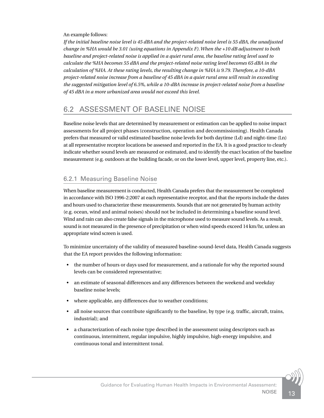#### <span id="page-16-0"></span>An example follows:

*If the initial baseline noise level is 45 dBA and the project-related noise level is 55 dBA, the unadjusted change in %HA would be 3.01 (using equations in Appendix F). When the +10 dB adjustment to both baseline and project-related noise is applied in a quiet rural area, the baseline rating level used to calculate the %HA becomes 55 dBA and the project-related noise rating level becomes 65 dBA in the calculation of %HA. At these rating levels, the resulting change in %HA is 9.79. Therefore, a 10-dBA project-related noise increase from a baseline of 45 dBA in a quiet rural area will result in exceeding the suggested mitigation level of 6.5%, while a 10-dBA increase in project-related noise from a baseline of 45 dBA in a more urbanized area would not exceed this level.*

# 6.2 ASSESSMENT OF BASELINE NOISE

Baseline noise levels that are determined by measurement or estimation can be applied to noise impact assessments for all project phases (construction, operation and decommissioning). Health Canada prefers that measured or valid estimated baseline noise levels for both daytime (Ld) and night-time (Ln) at all representative receptor locations be assessed and reported in the EA. It is a good practice to clearly indicate whether sound levels are measured or estimated, and to identify the exact location of the baseline measurement (e.g. outdoors at the building facade, or on the lower level, upper level, property line, etc.).

#### 6.2.1 Measuring Baseline Noise

When baseline measurement is conducted, Health Canada prefers that the measurement be completed in accordance with ISO 1996-2:2007 at each representative receptor, and that the reports include the dates and hours used to characterize these measurements. Sounds that are not generated by human activity (e.g. ocean, wind and animal noises) should not be included in determining a baseline sound level. Wind and rain can also create false signals in the microphone used to measure sound levels. As a result, sound is not measured in the presence of precipitation or when wind speeds exceed 14 km/hr, unless an appropriate wind screen is used.

To minimize uncertainty of the validity of measured baseline-sound-level data, Health Canada suggests that the EA report provides the following information:

- the number of hours or days used for measurement, and a rationale for why the reported sound levels can be considered representative;
- an estimate of seasonal differences and any differences between the weekend and weekday baseline noise levels;
- where applicable, any differences due to weather conditions;
- all noise sources that contribute significantly to the baseline, by type (e.g. traffic, aircraft, trains, industrial); and
- a characterization of each noise type described in the assessment using descriptors such as continuous, intermittent, regular impulsive, highly impulsive, high-energy impulsive, and continuous tonal and intermittent tonal.

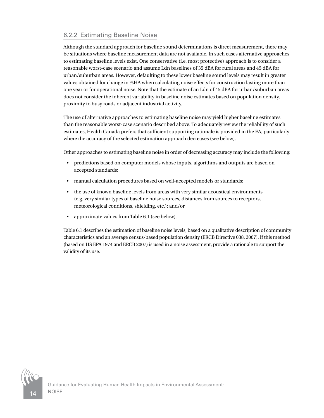#### 6.2.2 Estimating Baseline Noise

Although the standard approach for baseline sound determinations is direct measurement, there may be situations where baseline measurement data are not available. In such cases alternative approaches to estimating baseline levels exist. One conservative (i.e. most protective) approach is to consider a reasonable worst-case scenario and assume Ldn baselines of 35 dBA for rural areas and 45 dBA for urban/suburban areas. However, defaulting to these lower baseline sound levels may result in greater values obtained for change in %HA when calculating noise effects for construction lasting more than one year or for operational noise. Note that the estimate of an Ldn of 45 dBA for urban/suburban areas does not consider the inherent variability in baseline noise estimates based on population density, proximity to busy roads or adjacent industrial activity.

The use of alternative approaches to estimating baseline noise may yield higher baseline estimates than the reasonable worst-case scenario described above. To adequately review the reliability of such estimates, Health Canada prefers that sufficient supporting rationale is provided in the EA, particularly where the accuracy of the selected estimation approach decreases (see below).

Other approaches to estimating baseline noise in order of decreasing accuracy may include the following:

- predictions based on computer models whose inputs, algorithms and outputs are based on accepted standards;
- manual calculation procedures based on well-accepted models or standards;
- the use of known baseline levels from areas with very similar acoustical environments (e.g. very similar types of baseline noise sources, distances from sources to receptors, meteorological conditions, shielding, etc.); and/or
- approximate values from Table 6.1 (see below).

Table 6.1 describes the estimation of baseline noise levels, based on a qualitative description of community characteristics and an average census-based population density (ERCB Directive 038, 2007). If this method (based on US EPA 1974 and ERCB 2007) is used in a noise assessment, provide a rationale to support the validity of its use.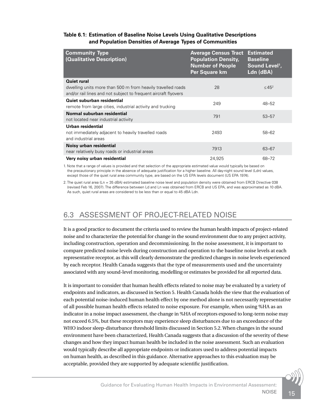#### <span id="page-18-0"></span>**Table 6.1: Estimation of Baseline Noise Levels Using Qualitative Descriptions and Population Densities of Average Types of Communities**

| <b>Community Type</b><br>(Qualitative Description)                                                                             | <b>Average Census Tract</b><br><b>Population Density,</b><br><b>Number of People</b><br>Per Square km | <b>Estimated</b><br><b>Baseline</b><br>Sound Level <sup>1</sup> ,<br>Ldn (dBA) |
|--------------------------------------------------------------------------------------------------------------------------------|-------------------------------------------------------------------------------------------------------|--------------------------------------------------------------------------------|
| Quiet rural                                                                                                                    |                                                                                                       |                                                                                |
| dwelling units more than 500 m from heavily travelled roads<br>and/or rail lines and not subject to frequent aircraft flyovers | 28                                                                                                    | $\leq 45^2$                                                                    |
| Quiet suburban residential<br>remote from large cities, industrial activity and trucking                                       | 249                                                                                                   | $48 - 52$                                                                      |
| Normal suburban residential<br>not located near industrial activity                                                            | 791                                                                                                   | $53 - 57$                                                                      |
| Urban residential<br>not immediately adjacent to heavily travelled roads<br>and industrial areas                               | 2493                                                                                                  | 58-62                                                                          |
| Noisy urban residential<br>near relatively busy roads or industrial areas                                                      | 7913                                                                                                  | 63-67                                                                          |
| Very noisy urban residential                                                                                                   | 24,925                                                                                                | 68-72                                                                          |

1. Note that a range of values is provided and that selection of the appropriate estimated value would typically be based on the precautionary principle in the absence of adequate justification for a higher baseline. All day-night sound level (Ldn) values, except those of the quiet rural area community type, are based on the US EPA levels document (US EPA 1974).

2. The quiet rural area (Ln = 35 dBA) estimated baseline noise level and population density were obtained from ERCB Directive 038 (revised Feb 16, 2007). The difference between Ld and Ln was obtained from ERCB and US EPA, and was approximated as 10 dBA. As such, quiet rural areas are considered to be less than or equal to 45 dBA Ldn.

# 6.3 ASSESSMENT OF PROJECT-RELATED NOISE

It is a good practice to document the criteria used to review the human health impacts of project-related noise and to characterize the potential for change in the sound environment due to any project activity, including construction, operation and decommissioning. In the noise assessment, it is important to compare predicted noise levels during construction and operation to the baseline noise levels at each representative receptor, as this will clearly demonstrate the predicted changes in noise levels experienced by each receptor. Health Canada suggests that the type of measurements used and the uncertainty associated with any sound-level monitoring, modelling or estimates be provided for all reported data.

It is important to consider that human health effects related to noise may be evaluated by a variety of endpoints and indicators, as discussed in Section 5. Health Canada holds the view that the evaluation of each potential noise-induced human health effect by one method alone is not necessarily representative of all possible human health effects related to noise exposure. For example, when using %HA as an indicator in a noise impact assessment, the change in %HA of receptors exposed to long-term noise may not exceed 6.5%, but these receptors may experience sleep disturbances due to an exceedance of the WHO indoor sleep-disturbance threshold limits discussed in Section 5.2. When changes in the sound environment have been characterized, Health Canada suggests that a discussion of the severity of these changes and how they impact human health be included in the noise assessment. Such an evaluation would typically describe all appropriate endpoints or indicators used to address potential impacts on human health, as described in this guidance. Alternative approaches to this evaluation may be acceptable, provided they are supported by adequate scientific justification.

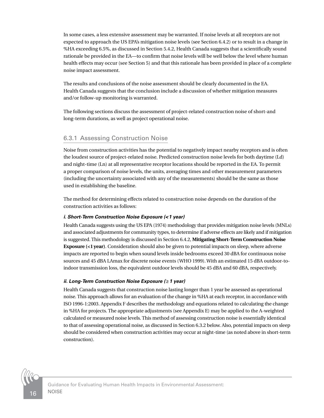In some cases, a less extensive assessment may be warranted. If noise levels at all receptors are not expected to approach the US EPA's mitigation noise levels (see Section 6.4.2) or to result in a change in %HA exceeding 6.5%, as discussed in Section 5.4.2, Health Canada suggests that a scientifically sound rationale be provided in the EA—to confirm that noise levels will be well below the level where human health effects may occur (see Section 5) and that this rationale has been provided in place of a complete noise impact assessment.

The results and conclusions of the noise assessment should be clearly documented in the EA. Health Canada suggests that the conclusion include a discussion of whether mitigation measures and/or follow-up monitoring is warranted.

The following sections discuss the assessment of project-related construction noise of short-and long-term durations, as well as project operational noise.

#### 6.3.1 Assessing Construction Noise

Noise from construction activities has the potential to negatively impact nearby receptors and is often the loudest source of project-related noise. Predicted construction noise levels for both daytime (Ld) and night-time (Ln) at all representative receptor locations should be reported in the EA. To permit a proper comparison of noise levels, the units, averaging times and other measurement parameters (including the uncertainty associated with any of the measurements) should be the same as those used in establishing the baseline.

The method for determining effects related to construction noise depends on the duration of the construction activities as follows:

#### *i. Short-Term Construction Noise Exposure (<1 year)*

Health Canada suggests using the US EPA (1974) methodology that provides mitigation noise levels (MNLs) and associated adjustments for community types, to determine if adverse effects are likely and if mitigation is suggested. This methodology is discussed in Section 6.4.2, **Mitigating Short-Term Construction Noise Exposure (<1 year)**. Consideration should also be given to potential impacts on sleep, where adverse impacts are reported to begin when sound levels inside bedrooms exceed 30 dBA for continuous noise sources and 45 dBA LAmax for discrete noise events (WHO 1999). With an estimated 15 dBA outdoor-toindoor transmission loss, the equivalent outdoor levels should be 45 dBA and 60 dBA, respectively.

#### *ii. Long-Term Construction Noise Exposure (≥1 year)*

Health Canada suggests that construction noise lasting longer than 1 year be assessed as operational noise. This approach allows for an evaluation of the change in %HA at each receptor, in accordance with ISO 1996-1:2003. Appendix F describes the methodology and equations related to calculating the change in %HA for projects. The appropriate adjustments (see Appendix E) may be applied to the A-weighted calculated or measured noise levels. This method of assessing construction noise is essentially identical to that of assessing operational noise, as discussed in Section 6.3.2 below. Also, potential impacts on sleep should be considered when construction activities may occur at night-time (as noted above in short-term construction).

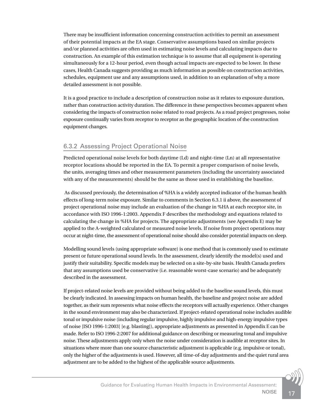There may be insufficient information concerning construction activities to permit an assessment of their potential impacts at the EA stage. Conservative assumptions based on similar projects and/or planned activities are often used in estimating noise levels and calculating impacts due to construction. An example of this estimation technique is to assume that all equipment is operating simultaneously for a 12-hour period, even though actual impacts are expected to be lower. In these cases, Health Canada suggests providing as much information as possible on construction activities, schedules, equipment use and any assumptions used, in addition to an explanation of why a more detailed assessment is not possible.

It is a good practice to include a description of construction noise as it relates to exposure duration, rather than construction activity duration. The difference in these perspectives becomes apparent when considering the impacts of construction noise related to road projects. As a road project progresses, noise exposure continually varies from receptor to receptor as the geographic location of the construction equipment changes.

#### 6.3.2 Assessing Project Operational Noise

Predicted operational noise levels for both daytime (Ld) and night-time (Ln) at all representative receptor locations should be reported in the EA. To permit a proper comparison of noise levels, the units, averaging times and other measurement parameters (including the uncertainty associated with any of the measurements) should be the same as those used in establishing the baseline.

 As discussed previously, the determination of %HA is a widely accepted indicator of the human health effects of long-term noise exposure. Similar to comments in Section 6.3.1 ii above, the assessment of project operational noise may include an evaluation of the change in %HA at each receptor site, in accordance with ISO 1996-1:2003. Appendix F describes the methodology and equations related to calculating the change in %HA for projects. The appropriate adjustments (see Appendix E) may be applied to the A-weighted calculated or measured noise levels. If noise from project operations may occur at night-time, the assessment of operational noise should also consider potential impacts on sleep.

Modelling sound levels (using appropriate software) is one method that is commonly used to estimate present or future operational sound levels. In the assessment, clearly identify the model(s) used and justify their suitability. Specific models may be selected on a site-by-site basis. Health Canada prefers that any assumptions used be conservative (i.e. reasonable worst-case scenario) and be adequately described in the assessment.

If project-related noise levels are provided without being added to the baseline sound levels, this must be clearly indicated. In assessing impacts on human health, the baseline and project noise are added together, as their sum represents what noise effects the receptors will actually experience. Other changes in the sound environment may also be characterized. If project-related operational noise includes audible tonal or impulsive noise (including regular impulsive, highly impulsive and high-energy impulsive types of noise [ISO 1996-1:2003] [e.g. blasting]), appropriate adjustments as presented in Appendix E can be made. Refer to ISO 1996-2:2007 for additional guidance on describing or measuring tonal and impulsive noise. These adjustments apply only when the noise under consideration is audible at receptor sites. In situations where more than one source characteristic adjustment is applicable (e.g. impulsive or tonal), only the higher of the adjustments is used. However, all time-of-day adjustments and the quiet rural area adjustment are to be added to the highest of the applicable source adjustments.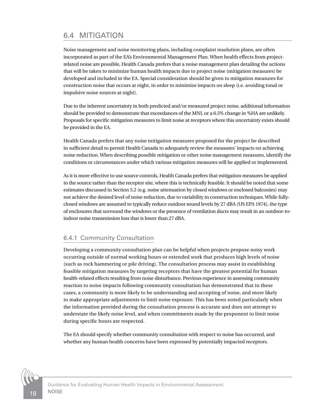# <span id="page-21-0"></span>6.4 MITIGATION

Noise management and noise monitoring plans, including complaint resolution plans, are often incorporated as part of the EA's Environmental Management Plan. When health effects from projectrelated noise are possible, Health Canada prefers that a noise management plan detailing the actions that will be taken to minimize human health impacts due to project noise (mitigation measures) be developed and included in the EA. Special consideration should be given to mitigation measures for construction noise that occurs at night, in order to minimize impacts on sleep (i.e. avoiding tonal or impulsive noise sources at night).

Due to the inherent uncertainty in both predicted and/or measured project noise, additional information should be provided to demonstrate that exceedances of the MNL or a 6.5% change in %HA are unlikely. Proposals for specific mitigation measures to limit noise at receptors where this uncertainty exists should be provided in the EA.

Health Canada prefers that any noise mitigation measures proposed for the project be described in sufficient detail to permit Health Canada to adequately review the measures' impacts on achieving noise reduction. When describing possible mitigation or other noise management measures, identify the conditions or circumstances under which various mitigation measures will be applied or implemented.

As it is more effective to use source controls, Health Canada prefers that mitigation measures be applied to the source rather than the receptor site, where this is technically feasible. It should be noted that some estimates discussed in Section 5.2 (e.g. noise attenuation by closed windows or enclosed balconies) may not achieve the desired level of noise reduction, due to variability in construction techniques. While fullyclosed windows are assumed to typically reduce outdoor sound levels by 27 dBA (US EPA 1974), the type of enclosures that surround the windows or the presence of ventilation ducts may result in an outdoor-toindoor noise transmission loss that is lower than 27 dBA.

#### 6.4.1 Community Consultation

Developing a community consultation plan can be helpful when projects propose noisy work occurring outside of normal working hours or extended work that produces high levels of noise (such as rock hammering or pile driving). The consultation process may assist in establishing feasible mitigation measures by targeting receptors that have the greatest potential for human health-related effects resulting from noise disturbance. Previous experience in assessing community reaction to noise impacts following community consultation has demonstrated that in these cases, a community is more likely to be understanding and accepting of noise, and more likely to make appropriate adjustments to limit noise exposure. This has been noted particularly when the information provided during the consultation process is accurate and does not attempt to understate the likely noise level, and when commitments made by the proponent to limit noise during specific hours are respected.

The EA should specify whether community consultation with respect to noise has occurred, and whether any human health concerns have been expressed by potentially impacted receptors.

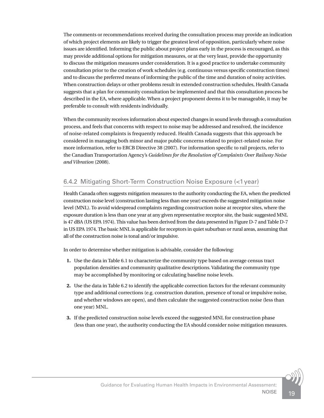The comments or recommendations received during the consultation process may provide an indication of which project elements are likely to trigger the greatest level of opposition, particularly where noise issues are identified. Informing the public about project plans early in the process is encouraged, as this may provide additional options for mitigation measures, or at the very least, provide the opportunity to discuss the mitigation measures under consideration. It is a good practice to undertake community consultation prior to the creation of work schedules (e.g. continuous versus specific construction times) and to discuss the preferred means of informing the public of the time and duration of noisy activities. When construction delays or other problems result in extended construction schedules, Health Canada suggests that a plan for community consultation be implemented and that this consultation process be described in the EA, where applicable. When a project proponent deems it to be manageable, it may be preferable to consult with residents individually.

When the community receives information about expected changes in sound levels through a consultation process, and feels that concerns with respect to noise may be addressed and resolved, the incidence of noise-related complaints is frequently reduced. Health Canada suggests that this approach be considered in managing both minor and major public concerns related to project-related noise. For more information, refer to ERCB Directive 38 (2007). For information specific to rail projects, refer to the Canadian Transportation Agency's *Guidelines for the Resolution of Complaints Over Railway Noise and Vibration* (2008).

#### 6.4.2 Mitigating Short-Term Construction Noise Exposure (<1year)

Health Canada often suggests mitigation measures to the authority conducting the EA, when the predicted construction noise level (construction lasting less than one year) exceeds the suggested mitigation noise level (MNL). To avoid widespread complaints regarding construction noise at receptor sites, where the exposure duration is less than one year at any given representative receptor site, the basic suggested MNL is 47 dBA (US EPA 1974). This value has been derived from the data presented in Figure D-7 and Table D-7 in US EPA 1974. The basic MNL is applicable for receptors in quiet suburban or rural areas, assuming that all of the construction noise is tonal and/or impulsive.

In order to determine whether mitigation is advisable, consider the following:

- **1.** Use the data in Table 6.1 to characterize the community type based on average census tract population densities and community qualitative descriptions. Validating the community type may be accomplished by monitoring or calculating baseline noise levels.
- **2.** Use the data in Table 6.2 to identify the applicable correction factors for the relevant community type and additional corrections (e.g. construction duration, presence of tonal or impulsive noise, and whether windows are open), and then calculate the suggested construction noise (less than one year) MNL.
- **3.** If the predicted construction noise levels exceed the suggested MNL for construction phase (less than one year), the authority conducting the EA should consider noise mitigation measures.

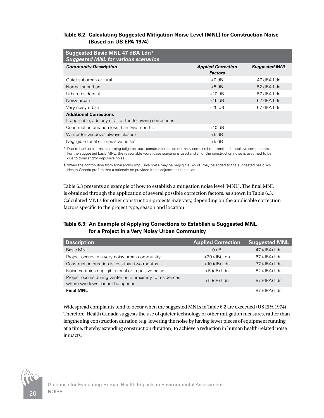#### <span id="page-23-0"></span>**Table 6.2: Calculating Suggested Mitigation Noise Level (MNL) for Construction Noise (Based on US EPA 1974)**

| Suggested Basic MNL 47 dBA Ldn*<br><b>Suggested MNL for various scenarios</b>                |                                             |                      |  |
|----------------------------------------------------------------------------------------------|---------------------------------------------|----------------------|--|
| <b>Community Description</b>                                                                 | <b>Applied Correction</b><br><b>Factors</b> | <b>Suggested MNL</b> |  |
| Quiet suburban or rural                                                                      | $+0$ dB                                     | 47 dBA Ldn           |  |
| Normal suburban                                                                              | $+5$ dB                                     | $52$ dBA Ldn         |  |
| Urban residential                                                                            | $+10$ dB                                    | 57 dBA Ldn           |  |
| Noisy urban                                                                                  | $+15$ dB                                    | 62 dBA Ldn           |  |
| Very noisy urban                                                                             | $+20$ dB                                    | 67 dBA Ldn           |  |
| <b>Additional Corrections</b><br>If applicable, add any or all of the following corrections: |                                             |                      |  |
| Construction duration less than two months                                                   | $+10$ dB                                    |                      |  |
| Winter (or windows always closed)                                                            | $+5$ dB                                     |                      |  |
| Negligible tonal or impulsive noise <sup>§</sup>                                             | $+5 dB$                                     |                      |  |

\* Due to backup alarms, slamming tailgates, etc., construction noise normally contains both tonal and impulsive components. For the suggested basic MNL, the reasonable worst-case scenario is used and all of the construction noise is assumed to be due to tonal and/or impulsive noise.

§ When the contribution from tonal and/or impulsive noise may be negligible, +5 dB may be added to the suggested basic MNL. Health Canada prefers that a rationale be provided if this adjustment is applied.

Table 6.3 presents an example of how to establish a mitigation noise level (MNL). The final MNL is obtained through the application of several possible correction factors, as shown in Table 6.3. Calculated MNLs for other construction projects may vary, depending on the applicable correction factors specific to the project type, season and location.

#### **Table 6.3: An Example of Applying Corrections to Establish a Suggested MNL for a Project in a Very Noisy Urban Community**

| <b>Description</b>                                                                           | <b>Applied Correction</b> | <b>Suggested MNL</b> |
|----------------------------------------------------------------------------------------------|---------------------------|----------------------|
| Basic MNL                                                                                    | $0$ dB                    | 47 (dBA) Ldn         |
| Project occurs in a very noisy urban community                                               | $+20$ (dB) Ldn            | 67 (dBA) Ldn         |
| Construction duration is less than two months                                                | $+10$ (dB) Ldn            | 77 (dBA) Ldn         |
| Noise contains negligible tonal or impulsive noise                                           | $+5$ (dB) Ldn             | 82 (dBA) Ldn         |
| Project occurs during winter or in proximity to residences<br>where windows cannot be opened | $+5$ (dB) Ldn             | 87 (dBA) Ldn         |
| <b>Final MNL</b>                                                                             |                           | 87 (dBA) Ldn         |

Widespread complaints tend to occur when the suggested MNLs in Table 6.2 are exceeded (US EPA 1974). Therefore, Health Canada suggests the use of quieter technology or other mitigation measures, rather than lengthening construction duration (e.g. lowering the noise by having fewer pieces of equipment running at a time, thereby extending construction duration) to achieve a reduction in human health-related noise impacts.

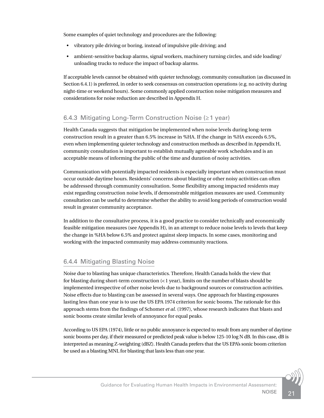Some examples of quiet technology and procedures are the following:

- vibratory pile driving or boring, instead of impulsive pile driving; and
- ambient-sensitive backup alarms, signal workers, machinery turning circles, and side loading/ unloading trucks to reduce the impact of backup alarms.

If acceptable levels cannot be obtained with quieter technology, community consultation (as discussed in Section 6.4.1) is preferred, in order to seek consensus on construction operations (e.g. no activity during night-time or weekend hours). Some commonly applied construction noise mitigation measures and considerations for noise reduction are described in Appendix H.

#### 6.4.3 Mitigating Long-Term Construction Noise (≥1 year)

Health Canada suggests that mitigation be implemented when noise levels during long-term construction result in a greater than 6.5% increase in %HA. If the change in %HA exceeds 6.5%, even when implementing quieter technology and construction methods as described in Appendix H, community consultation is important to establish mutually agreeable work schedules and is an acceptable means of informing the public of the time and duration of noisy activities.

Communication with potentially impacted residents is especially important when construction must occur outside daytime hours. Residents' concerns about blasting or other noisy activities can often be addressed through community consultation. Some flexibility among impacted residents may exist regarding construction noise levels, if demonstrable mitigation measures are used. Community consultation can be useful to determine whether the ability to avoid long periods of construction would result in greater community acceptance.

In addition to the consultative process, it is a good practice to consider technically and economically feasible mitigation measures (see Appendix H), in an attempt to reduce noise levels to levels that keep the change in %HA below 6.5% and protect against sleep impacts. In some cases, monitoring and working with the impacted community may address community reactions.

#### 6.4.4 Mitigating Blasting Noise

Noise due to blasting has unique characteristics. Therefore, Health Canada holds the view that for blasting during short-term construction (<1 year), limits on the number of blasts should be implemented irrespective of other noise levels due to background sources or construction activities. Noise effects due to blasting can be assessed in several ways. One approach for blasting exposures lasting less than one year is to use the US EPA 1974 criterion for sonic booms. The rationale for this approach stems from the findings of Schomer *et al.* (1997), whose research indicates that blasts and sonic booms create similar levels of annoyance for equal peaks.

According to US EPA (1974), little or no public annoyance is expected to result from any number of daytime sonic booms per day, if their measured or predicted peak value is below 125-10 log N dB. In this case, dB is interpreted as meaning Z-weighting (dBZ). Health Canada prefers that the US EPA's sonic boom criterion be used as a blasting MNL for blasting that lasts less than one year.

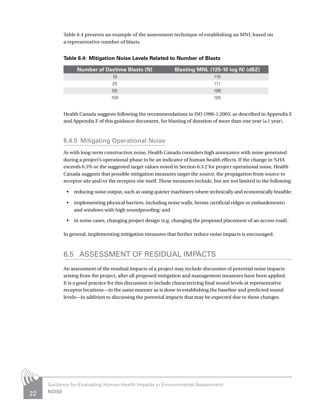<span id="page-25-0"></span>Table 6.4 presents an example of the assessment technique of establishing an MNL based on a representative number of blasts.

| <b>Number of Daytime Blasts (N)</b> | Blasting MNL (125-10 log N) (dBZ) |
|-------------------------------------|-----------------------------------|
|                                     | 115                               |
| 25                                  | 111                               |
| 50                                  | 108                               |
| 100                                 | 105                               |

**Table 6.4: Mitigation Noise Levels Related to Number of Blasts**

Health Canada suggests following the recommendations in ISO 1996-1:2003, as described in Appendix E and Appendix F of this guidance document, for blasting of duration of more than one year ( $\geq 1$  year),

#### 6.4.5 Mitigating Operational Noise

As with long-term construction noise, Health Canada considers high annoyance with noise generated during a project's operational phase to be an indicator of human health effects. If the change in %HA exceeds 6.5% or the suggested target values noted in Section 6.3.2 for project operational noise, Health Canada suggests that possible mitigation measures target the source, the propagation from source to receptor site and/or the receptor site itself. These measures include, but are not limited to the following:

- reducing noise output, such as using quieter machinery where technically and economically feasible;
- implementing physical barriers, including noise walls, berms (artificial ridges or embankments) and windows with high soundproofing; and
- in some cases, changing project design (e.g. changing the proposed placement of an access road).

In general, implementing mitigation measures that further reduce noise impacts is encouraged.

# 6.5 ASSESSMENT OF RESIDUAL IMPACTS

An assessment of the residual impacts of a project may include discussion of potential noise impacts arising from the project, after all proposed mitigation and management measures have been applied. It is a good practice for this discussion to include characterizing final sound levels at representative receptor locations—in the same manner as is done in establishing the baseline and predicted sound levels—in addition to discussing the potential impacts that may be expected due to these changes.

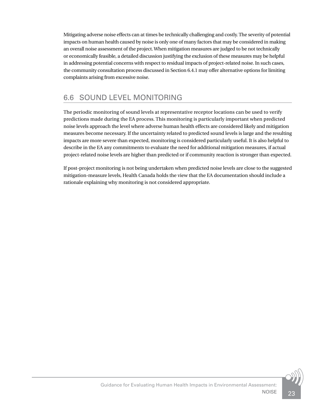<span id="page-26-0"></span>Mitigating adverse noise effects can at times be technically challenging and costly. The severity of potential impacts on human health caused by noise is only one of many factors that may be considered in making an overall noise assessment of the project. When mitigation measures are judged to be not technically or economically feasible, a detailed discussion justifying the exclusion of these measures may be helpful in addressing potential concerns with respect to residual impacts of project-related noise. In such cases, the community consultation process discussed in Section 6.4.1 may offer alternative options for limiting complaints arising from excessive noise.

# 6.6 SOUND LEVEL MONITORING

The periodic monitoring of sound levels at representative receptor locations can be used to verify predictions made during the EA process. This monitoring is particularly important when predicted noise levels approach the level where adverse human health effects are considered likely and mitigation measures become necessary. If the uncertainty related to predicted sound levels is large and the resulting impacts are more severe than expected, monitoring is considered particularly useful. It is also helpful to describe in the EA any commitments to evaluate the need for additional mitigation measures, if actual project-related noise levels are higher than predicted or if community reaction is stronger than expected.

If post-project monitoring is not being undertaken when predicted noise levels are close to the suggested mitigation-measure levels, Health Canada holds the view that the EA documentation should include a rationale explaining why monitoring is not considered appropriate.

23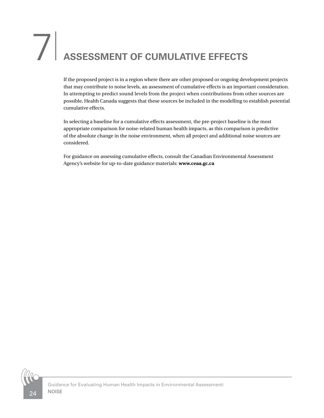# <span id="page-27-0"></span>7<sup>|</sup> **ASSESSMENT OF CUMULATIVE EFFECTS**

If the proposed project is in a region where there are other proposed or ongoing development projects that may contribute to noise levels, an assessment of cumulative effects is an important consideration. In attempting to predict sound levels from the project when contributions from other sources are possible, Health Canada suggests that these sources be included in the modelling to establish potential cumulative effects.

In selecting a baseline for a cumulative effects assessment, the pre-project baseline is the most appropriate comparison for noise-related human health impacts, as this comparison is predictive of the absolute change in the noise environment, when all project and additional noise sources are considered.

For guidance on assessing cumulative effects, consult the Canadian Environmental Assessment Agency's website for up-to-date guidance materials: **www.ceaa.gc.ca**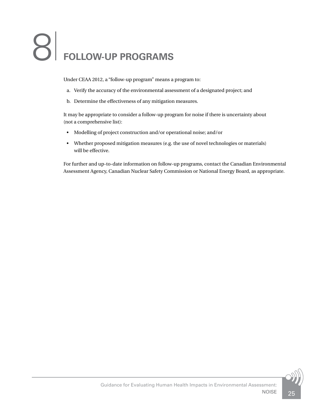# <span id="page-28-0"></span>8<sup>|</sup> **FOLLOW-UP PROGRAMS**

Under CEAA 2012, a "follow-up program" means a program to:

- a. Verify the accuracy of the environmental assessment of a designated project; and
- b. Determine the effectiveness of any mitigation measures.

It may be appropriate to consider a follow-up program for noise if there is uncertainty about (not a comprehensive list):

- Modelling of project construction and/or operational noise; and/or
- Whether proposed mitigation measures (e.g. the use of novel technologies or materials) will be effective.

For further and up-to-date information on follow-up programs, contact the Canadian Environmental Assessment Agency, Canadian Nuclear Safety Commission or National Energy Board, as appropriate.

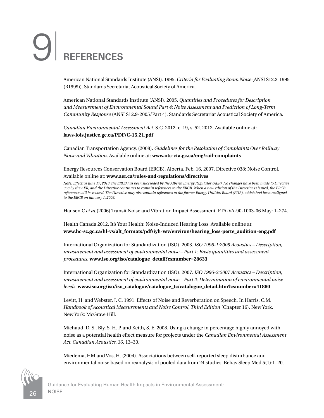# <span id="page-29-0"></span>9<sup>|</sup> **REFERENCES**

American National Standards Institute (ANSI). 1995. *Criteria for Evaluating Room Noise* (ANSI S12.2-1995 (R1999)). Standards Secretariat Acoustical Society of America.

American National Standards Institute (ANSI). 2005. *Quantities and Procedures for Description and Measurement of Environmental Sound Part 4: Noise Assessment and Prediction of Long-Term Community Response* (ANSI S12.9-2005/Part 4). Standards Secretariat Acoustical Society of America.

*Canadian Environmental Assessment Act*. S.C. 2012, c. 19, s. 52. 2012. Available online at: **[laws-lois.justice.gc.ca/PDF/C-15.21.pdf](http://laws-lois.justice.gc.ca/PDF/C-15.21.pdf)**

Canadian Transportation Agency. (2008). *Guidelines for the Resolution of Complaints Over Railway Noise and Vibration*. Available online at: **[www.otc-cta.gc.ca/eng/rail-complaints](http://www.otc-cta.gc.ca/eng/rail-complaints)**

Energy Resources Conservation Board (ERCB), Alberta. Feb. 16, 2007. Directive 038: Noise Control. Available online at: **[www.aer.ca/rules-and-regulations/directives](http://www.aer.ca/rules-and-regulations/directives)**

*Note: Effective June 17, 2013, the ERCB has been succeeded by the Alberta Energy Regulator (AER). No changes have been made to Directive 038 by the AER, and the Directive continues to contain references to the ERCB. When a new edition of the Directive is issued, the ERCB references will be revised. The Directive may also contain references to the former Energy Utilities Board (EUB), which had been realigned to the ERCB on January 1, 2008.*

Hansen C *et al.*(2006) Transit Noise and Vibration Impact Assessment. FTA-VA-90-1003-06 May: 1–274.

Health Canada 2012. It's Your Health: Noise-Induced Hearing Loss. Available online at: **www.hc-sc.gc.ca/hl-vs/alt\_formats/pdf/iyh-vsv/environ/hearing\_loss-perte\_audition-eng.pdf**

International Organization for Standardization (ISO). 2003. *ISO 1996-1:2003 Acoustics – Description, measurement and assessment of environmental noise – Part 1: Basic quantities and assessment procedures*. **www.iso.org/iso/catalogue\_detail?csnumber=28633**

International Organization for Standardization (ISO). 2007. *ISO 1996-2:2007 Acoustics – Description, measurement and assessment of environmental noise – Part 2: Determination of environmental noise levels*. **www.iso.org/iso/iso\_catalogue/catalogue\_tc/catalogue\_detail.htm?csnumber=41860**

Levitt, H. and Webster, J. C. 1991. Effects of Noise and Reverberation on Speech. In Harris, C.M. *Handbook of Acoustical Measurements and Noise Control, Third Edition* (Chapter 16). New York, New York: McGraw-Hill.

Michaud, D. S., Bly, S. H. P. and Keith, S. E. 2008. Using a change in percentage highly annoyed with noise as a potential health effect measure for projects under the *Canadian Environmental Assessment Act. Canadian Acoustics. 36*, 13–30.

Miedema, HM and Vos, H. (2004). Associations between self-reported sleep disturbance and environmental noise based on reanalysis of pooled data from 24 studies. Behav Sleep Med 5(1):1–20.

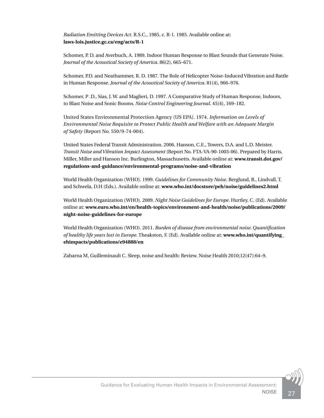*Radiation Emitting Devices Act*. R.S.C., 1985, c. R-1. 1985. Available online at: **[laws-lois.justice.gc.ca/eng/acts/R-1](http://laws-lois.justice.gc.ca/eng/acts/R-1)**

Schomer, P. D. and Averbuch, A. 1989. Indoor Human Response to Blast Sounds that Generate Noise. *Journal of the Acoustical Society of America*. 86(2), 665–671.

Schomer, P.D. and Neathammer, R. D. 1987. The Role of Helicopter Noise-Induced Vibration and Rattle in Human Response. *Journal of the Acoustical Society of America*. 81(4), 966–976.

Schomer, P .D., Sias, J. W. and Maglieri, D. 1997. A Comparative Study of Human Response, Indoors, to Blast Noise and Sonic Booms. *Noise Control Engineering Journal*. 45(4), 169–182.

United States Environmental Protection Agency (US EPA). 1974. *Information on Levels of Environmental Noise Requisite to Protect Public Health and Welfare with an Adequate Margin of Safety* (Report No. 550/9-74-004).

United States Federal Transit Administration. 2006. Hanson, C.E., Towers, D.A. and L.D. Meister. *Transit Noise and Vibration Impact Assessment* (Report No. FTA-VA-90-1003-06). Prepared by Harris, Miller, Miller and Hanson Inc. Burlington, Massachusetts. Available online at: **[www.transit.dot.gov/](http://www.transit.dot.gov/regulations-and-guidance/environmental-programs/noise-and-vibration) [regulations-and-guidance/environmental-programs/noise-and-vibration](http://www.transit.dot.gov/regulations-and-guidance/environmental-programs/noise-and-vibration)**

World Health Organization (WHO). 1999. *Guidelines for Community Noise*. Berglund, B., Lindvall, T. and Schwela, D.H (Eds.). Available online at: **[www.who.int/docstore/peh/noise/guidelines2.html](http://www.who.int/docstore/peh/noise/guidelines2.html)**

World Health Organization (WHO). 2009. *Night Noise Guidelines for Europe*. Hurtley, C. (Ed). Available online at: **[www.euro.who.int/en/health-topics/environment-and-health/noise/publications/2009/](http://www.euro.who.int/en/health-topics/environment-and-health/noise/publications/2009/night-noise-guidelines-for-europe) night-noise-guidelines-for-europe**

World Health Organization (WHO). 2011. *Burden of disease from environmental noise. Quantification of healthy life years lost in Europe*. Theakston, F. (Ed). Available online at: **www.who.int/quantifying\_ ehimpacts/publications/e94888/en**

Zaharna M, Guilleminault C. Sleep, noise and health: Review. Noise Health 2010;12(47):64–9.

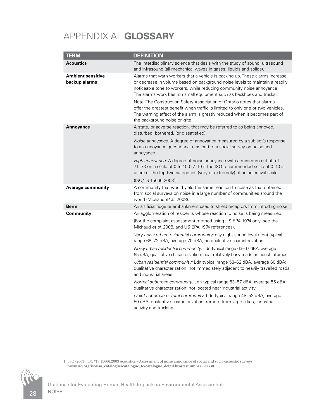# <span id="page-31-0"></span>APPENDIX A| **GLOSSARY**

| <b>TERM</b>                               | <b>DEFINITION</b>                                                                                                                                                                                                                                                                                             |
|-------------------------------------------|---------------------------------------------------------------------------------------------------------------------------------------------------------------------------------------------------------------------------------------------------------------------------------------------------------------|
| <b>Acoustics</b>                          | The interdisciplinary science that deals with the study of sound, ultrasound<br>and infrasound (all mechanical waves in gases, liquids and solids).                                                                                                                                                           |
| <b>Ambient sensitive</b><br>backup alarms | Alarms that warn workers that a vehicle is backing up. These alarms increase<br>or decrease in volume based on background noise levels to maintain a readily<br>noticeable tone to workers, while reducing community noise annoyance.<br>The alarms work best on small equipment such as backhoes and trucks. |
|                                           | Note: The Construction Safety Association of Ontario notes that alarms<br>offer the greatest benefit when traffic is limited to only one or two vehicles.<br>The warning effect of the alarm is greatly reduced when it becomes part of<br>the background noise on-site.                                      |
| <b>Annoyance</b>                          | A state, or adverse reaction, that may be referred to as being annoyed,<br>disturbed, bothered, (or dissatisfied).                                                                                                                                                                                            |
|                                           | <i>Noise annoyance:</i> A degree of annoyance measured by a subject's response<br>to an annoyance questionnaire as part of a social survey on noise and<br>annoyance.                                                                                                                                         |
|                                           | <i>High annoyance:</i> A degree of noise annoyance with a minimum cut-off of<br>71-73 on a scale of 0 to 100 (7-10 if the ISO-recommended scale of 0-10 is<br>used) or the top two categories (very or extremely) of an adjectival scale.                                                                     |
|                                           | (ISO/TS 15666:2003 <sup>1</sup> )                                                                                                                                                                                                                                                                             |
| Average community                         | A community that would yield the same reaction to noise as that obtained<br>from social surveys on noise in a large number of communities around the<br>world (Michaud et al. 2008).                                                                                                                          |
| <b>Berm</b>                               | An artificial ridge or embankment used to shield receptors from intruding noise.                                                                                                                                                                                                                              |
| Community                                 | An agglomeration of residents whose reaction to noise is being measured.                                                                                                                                                                                                                                      |
|                                           | (For the complaint assessment method using US EPA 1974 only, see the<br>Michaud et al. 2008, and US EPA 1974 references).                                                                                                                                                                                     |
|                                           | Very noisy urban residential community: day-night sound level (Ldn) typical<br>range 68–72 dBA, average 70 dBA; no qualitative characterization.                                                                                                                                                              |
|                                           | Noisy urban residential community: Ldn typical range 63-67 dBA, average<br>65 dBA; qualitative characterization: near relatively busy roads or industrial areas.                                                                                                                                              |
|                                           | Urban residential community: Ldn typical range 58–62 dBA, average 60 dBA;<br>qualitative characterization: not immediately adjacent to heavily travelled roads<br>and industrial areas.                                                                                                                       |
|                                           | Normal suburban community: Ldn typical range 53–57 dBA, average 55 dBA;<br>qualitative characterization: not located near industrial activity.                                                                                                                                                                |
|                                           | Quiet suburban or rural community: Ldn typical range 48–52 dBA, average<br>50 dBA; qualitative characterization: remote from large cities, industrial<br>activity and trucking.                                                                                                                               |

1 ISO (2003). ISO/TS 15666:2003 Acoustics – Assessment of noise annoyance of social and socio-acoustic surveys. **www.iso.org/iso/iso\_catalogue/catalogue\_tc/catalogue\_detail.htm?csnumber=28630**

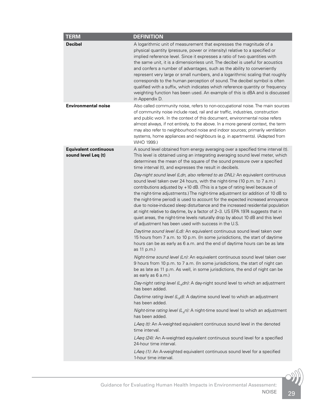| <b>Decibel</b><br>A logarithmic unit of measurement that expresses the magnitude of a<br>physical quantity (pressure, power or intensity) relative to a specified or<br>implied reference level. Since it expresses a ratio of two quantities with<br>the same unit, it is a dimensionless unit. The decibel is useful for acoustics<br>and confers a number of advantages, such as the ability to conveniently<br>represent very large or small numbers, and a logarithmic scaling that roughly<br>corresponds to the human perception of sound. The decibel symbol is often<br>qualified with a suffix, which indicates which reference quantity or frequency<br>weighting function has been used. An example of this is dBA and is discussed<br>in Appendix D.<br><b>Environmental noise</b><br>Also called community noise, refers to non-occupational noise. The main sources<br>of community noise include road, rail and air traffic, industries, construction<br>and public work. In the context of this document, environmental noise refers<br>almost always, if not entirely, to the above. In a more general context, the term<br>may also refer to neighbourhood noise and indoor sources; primarily ventilation<br>systems, home appliances and neighbours (e.g. in apartments). (Adapted from<br>WHO 1999.)<br><b>Equivalent continuous</b><br>A sound level obtained from energy averaging over a specified time interval (t).<br>sound level Leq (t)<br>This level is obtained using an integrating averaging sound level meter, which<br>determines the mean of the square of the sound pressure over a specified<br>time interval (t), and expresses the result in decibels.<br>Day-night sound level (Ldn, also referred to as DNL): An equivalent continuous<br>sound level taken over 24 hours, with the night-time (10 p.m. to 7 a.m.)<br>contributions adjusted by $+10$ dB. (This is a type of rating level because of<br>the night-time adjustments.) The night-time adjustment (or addition of 10 dB to<br>the night-time period) is used to account for the expected increased annoyance<br>due to noise-induced sleep disturbance and the increased residential population<br>at night relative to daytime, by a factor of 2-3. US EPA 1974 suggests that in<br>quiet areas, the night-time levels naturally drop by about 10 dB and this level<br>of adjustment has been used with success in the U.S.<br>Daytime sound level (Ld): An equivalent continuous sound level taken over<br>15 hours from 7 a.m. to 10 p.m. (In some jurisdictions, the start of daytime<br>hours can be as early as 6 a.m. and the end of daytime hours can be as late<br>as 11 p.m.)<br>Night-time sound level (Ln): An equivalent continuous sound level taken over<br>9 hours from 10 p.m. to 7 a.m. (In some jurisdictions, the start of night can<br>be as late as 11 p.m. As well, in some jurisdictions, the end of night can be<br>as early as 6 a.m.)<br>Day-night rating level ( $LB$ dn): A day-night sound level to which an adjustment<br>has been added.<br>Daytime rating level $(LRd)$ : A daytime sound level to which an adjustment<br>has been added.<br>Night-time rating level $(L_{B}n)$ : A night-time sound level to which an adjustment<br>has been added.<br>LAeq (t): An A-weighted equivalent continuous sound level in the denoted<br>time interval.<br>LAeq (24): An A-weighted equivalent continuous sound level for a specified<br>24-hour time interval.<br>LAeq (1): An A-weighted equivalent continuous sound level for a specified<br>1-hour time interval. | <b>TERM</b> | <b>DEFINITION</b> |
|-----------------------------------------------------------------------------------------------------------------------------------------------------------------------------------------------------------------------------------------------------------------------------------------------------------------------------------------------------------------------------------------------------------------------------------------------------------------------------------------------------------------------------------------------------------------------------------------------------------------------------------------------------------------------------------------------------------------------------------------------------------------------------------------------------------------------------------------------------------------------------------------------------------------------------------------------------------------------------------------------------------------------------------------------------------------------------------------------------------------------------------------------------------------------------------------------------------------------------------------------------------------------------------------------------------------------------------------------------------------------------------------------------------------------------------------------------------------------------------------------------------------------------------------------------------------------------------------------------------------------------------------------------------------------------------------------------------------------------------------------------------------------------------------------------------------------------------------------------------------------------------------------------------------------------------------------------------------------------------------------------------------------------------------------------------------------------------------------------------------------------------------------------------------------------------------------------------------------------------------------------------------------------------------------------------------------------------------------------------------------------------------------------------------------------------------------------------------------------------------------------------------------------------------------------------------------------------------------------------------------------------------------------------------------------------------------------------------------------------------------------------------------------------------------------------------------------------------------------------------------------------------------------------------------------------------------------------------------------------------------------------------------------------------------------------------------------------------------------------------------------------------------------------------------------------------------------------------------------------------------------------------------------------------------------------------------------------------------------------------------------------------------------------------------------------------------------------------------------------------------------------------------------------------------------------------------------------------------------------|-------------|-------------------|
|                                                                                                                                                                                                                                                                                                                                                                                                                                                                                                                                                                                                                                                                                                                                                                                                                                                                                                                                                                                                                                                                                                                                                                                                                                                                                                                                                                                                                                                                                                                                                                                                                                                                                                                                                                                                                                                                                                                                                                                                                                                                                                                                                                                                                                                                                                                                                                                                                                                                                                                                                                                                                                                                                                                                                                                                                                                                                                                                                                                                                                                                                                                                                                                                                                                                                                                                                                                                                                                                                                                                                                                                           |             |                   |
|                                                                                                                                                                                                                                                                                                                                                                                                                                                                                                                                                                                                                                                                                                                                                                                                                                                                                                                                                                                                                                                                                                                                                                                                                                                                                                                                                                                                                                                                                                                                                                                                                                                                                                                                                                                                                                                                                                                                                                                                                                                                                                                                                                                                                                                                                                                                                                                                                                                                                                                                                                                                                                                                                                                                                                                                                                                                                                                                                                                                                                                                                                                                                                                                                                                                                                                                                                                                                                                                                                                                                                                                           |             |                   |
|                                                                                                                                                                                                                                                                                                                                                                                                                                                                                                                                                                                                                                                                                                                                                                                                                                                                                                                                                                                                                                                                                                                                                                                                                                                                                                                                                                                                                                                                                                                                                                                                                                                                                                                                                                                                                                                                                                                                                                                                                                                                                                                                                                                                                                                                                                                                                                                                                                                                                                                                                                                                                                                                                                                                                                                                                                                                                                                                                                                                                                                                                                                                                                                                                                                                                                                                                                                                                                                                                                                                                                                                           |             |                   |
|                                                                                                                                                                                                                                                                                                                                                                                                                                                                                                                                                                                                                                                                                                                                                                                                                                                                                                                                                                                                                                                                                                                                                                                                                                                                                                                                                                                                                                                                                                                                                                                                                                                                                                                                                                                                                                                                                                                                                                                                                                                                                                                                                                                                                                                                                                                                                                                                                                                                                                                                                                                                                                                                                                                                                                                                                                                                                                                                                                                                                                                                                                                                                                                                                                                                                                                                                                                                                                                                                                                                                                                                           |             |                   |
|                                                                                                                                                                                                                                                                                                                                                                                                                                                                                                                                                                                                                                                                                                                                                                                                                                                                                                                                                                                                                                                                                                                                                                                                                                                                                                                                                                                                                                                                                                                                                                                                                                                                                                                                                                                                                                                                                                                                                                                                                                                                                                                                                                                                                                                                                                                                                                                                                                                                                                                                                                                                                                                                                                                                                                                                                                                                                                                                                                                                                                                                                                                                                                                                                                                                                                                                                                                                                                                                                                                                                                                                           |             |                   |
|                                                                                                                                                                                                                                                                                                                                                                                                                                                                                                                                                                                                                                                                                                                                                                                                                                                                                                                                                                                                                                                                                                                                                                                                                                                                                                                                                                                                                                                                                                                                                                                                                                                                                                                                                                                                                                                                                                                                                                                                                                                                                                                                                                                                                                                                                                                                                                                                                                                                                                                                                                                                                                                                                                                                                                                                                                                                                                                                                                                                                                                                                                                                                                                                                                                                                                                                                                                                                                                                                                                                                                                                           |             |                   |
|                                                                                                                                                                                                                                                                                                                                                                                                                                                                                                                                                                                                                                                                                                                                                                                                                                                                                                                                                                                                                                                                                                                                                                                                                                                                                                                                                                                                                                                                                                                                                                                                                                                                                                                                                                                                                                                                                                                                                                                                                                                                                                                                                                                                                                                                                                                                                                                                                                                                                                                                                                                                                                                                                                                                                                                                                                                                                                                                                                                                                                                                                                                                                                                                                                                                                                                                                                                                                                                                                                                                                                                                           |             |                   |
|                                                                                                                                                                                                                                                                                                                                                                                                                                                                                                                                                                                                                                                                                                                                                                                                                                                                                                                                                                                                                                                                                                                                                                                                                                                                                                                                                                                                                                                                                                                                                                                                                                                                                                                                                                                                                                                                                                                                                                                                                                                                                                                                                                                                                                                                                                                                                                                                                                                                                                                                                                                                                                                                                                                                                                                                                                                                                                                                                                                                                                                                                                                                                                                                                                                                                                                                                                                                                                                                                                                                                                                                           |             |                   |
|                                                                                                                                                                                                                                                                                                                                                                                                                                                                                                                                                                                                                                                                                                                                                                                                                                                                                                                                                                                                                                                                                                                                                                                                                                                                                                                                                                                                                                                                                                                                                                                                                                                                                                                                                                                                                                                                                                                                                                                                                                                                                                                                                                                                                                                                                                                                                                                                                                                                                                                                                                                                                                                                                                                                                                                                                                                                                                                                                                                                                                                                                                                                                                                                                                                                                                                                                                                                                                                                                                                                                                                                           |             |                   |
|                                                                                                                                                                                                                                                                                                                                                                                                                                                                                                                                                                                                                                                                                                                                                                                                                                                                                                                                                                                                                                                                                                                                                                                                                                                                                                                                                                                                                                                                                                                                                                                                                                                                                                                                                                                                                                                                                                                                                                                                                                                                                                                                                                                                                                                                                                                                                                                                                                                                                                                                                                                                                                                                                                                                                                                                                                                                                                                                                                                                                                                                                                                                                                                                                                                                                                                                                                                                                                                                                                                                                                                                           |             |                   |
|                                                                                                                                                                                                                                                                                                                                                                                                                                                                                                                                                                                                                                                                                                                                                                                                                                                                                                                                                                                                                                                                                                                                                                                                                                                                                                                                                                                                                                                                                                                                                                                                                                                                                                                                                                                                                                                                                                                                                                                                                                                                                                                                                                                                                                                                                                                                                                                                                                                                                                                                                                                                                                                                                                                                                                                                                                                                                                                                                                                                                                                                                                                                                                                                                                                                                                                                                                                                                                                                                                                                                                                                           |             |                   |
|                                                                                                                                                                                                                                                                                                                                                                                                                                                                                                                                                                                                                                                                                                                                                                                                                                                                                                                                                                                                                                                                                                                                                                                                                                                                                                                                                                                                                                                                                                                                                                                                                                                                                                                                                                                                                                                                                                                                                                                                                                                                                                                                                                                                                                                                                                                                                                                                                                                                                                                                                                                                                                                                                                                                                                                                                                                                                                                                                                                                                                                                                                                                                                                                                                                                                                                                                                                                                                                                                                                                                                                                           |             |                   |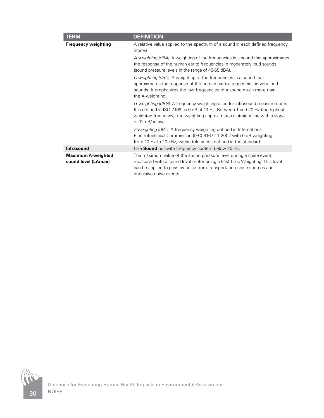| <b>TERM</b>                                      | <b>DEFINITION</b>                                                                                                                                                                                                                                              |
|--------------------------------------------------|----------------------------------------------------------------------------------------------------------------------------------------------------------------------------------------------------------------------------------------------------------------|
| <b>Frequency weighting</b>                       | A relative value applied to the spectrum of a sound in each defined frequency<br>interval.                                                                                                                                                                     |
|                                                  | A-weighting (dBA): A weighting of the frequencies in a sound that approximates<br>the response of the human ear to frequencies in moderately loud sounds<br>(sound pressure levels in the range of 45-65 dBA).                                                 |
|                                                  | C-weighting (dBC): A weighting of the frequencies in a sound that<br>approximates the response of the human ear to frequencies in very loud<br>sounds. It emphasizes the low frequencies of a sound much more than<br>the A-weighting.                         |
|                                                  | G-weighting (dBG): A frequency weighting used for infrasound measurements.<br>It is defined in ISO 7196 as 0 dB at 10 Hz. Between 1 and 20 Hz (the highest<br>weighted frequency), the weighting approximates a straight line with a slope<br>of 12 dB/octave. |
|                                                  | Z-weighting (dBZ): A frequency weighting defined in International<br>Electrotechnical Commission (IEC) 61672-1:2002 with 0 dB weighting<br>from 10 Hz to 20 kHz, within tolerances defined in the standard.                                                    |
| <b>Infrasound</b>                                | Like <b>Sound</b> but with frequency content below 20 Hz.                                                                                                                                                                                                      |
| <b>Maximum A-weighted</b><br>sound level (LAmax) | The maximum value of the sound pressure level during a noise event,<br>measured with a sound level meter using a Fast Time Weighting. This level<br>can be applied to pass-by noise from transportation noise sources and<br>impulsive noise events.           |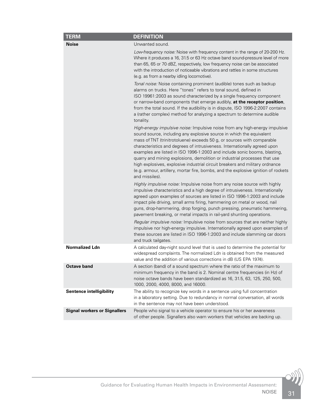| <b>TERM</b>                         | <b>DEFINITION</b>                                                                                                                                                                                                                                                                                                                                                                                                                                                                                                                                                                                                                                            |
|-------------------------------------|--------------------------------------------------------------------------------------------------------------------------------------------------------------------------------------------------------------------------------------------------------------------------------------------------------------------------------------------------------------------------------------------------------------------------------------------------------------------------------------------------------------------------------------------------------------------------------------------------------------------------------------------------------------|
| <b>Noise</b>                        | Unwanted sound.                                                                                                                                                                                                                                                                                                                                                                                                                                                                                                                                                                                                                                              |
|                                     | Low-frequency noise: Noise with frequency content in the range of 20-200 Hz.<br>Where it produces a 16, 31.5 or 63 Hz octave band sound-pressure level of more<br>than 65, 65 or 70 dBZ, respectively, low frequency noise can be associated<br>with the introduction of noticeable vibrations and rattles in some structures<br>(e.g. as from a nearby idling locomotive).                                                                                                                                                                                                                                                                                  |
|                                     | Tonal noise: Noise containing prominent (audible) tones such as backup<br>alarms on trucks. Here "tones" refers to tonal sound, defined in<br>ISO 19961:2003 as sound characterized by a single frequency component<br>or narrow-band components that emerge audibly, at the receptor position,<br>from the total sound. If the audibility is in dispute, ISO 1996-2:2007 contains<br>a (rather complex) method for analyzing a spectrum to determine audible<br>tonality.                                                                                                                                                                                   |
|                                     | High-energy impulsive noise: Impulsive noise from any high-energy impulsive<br>sound source, including any explosive source in which the equivalent<br>mass of TNT (trinitrotoluene) exceeds 50 g, or sources with comparable<br>characteristics and degrees of intrusiveness. Internationally agreed upon<br>examples are listed in ISO 1996-1:2003 and include sonic booms, blasting,<br>quarry and mining explosions, demolition or industrial processes that use<br>high explosives, explosive industrial circuit breakers and military ordnance<br>(e.g. armour, artillery, mortar fire, bombs, and the explosive ignition of rockets<br>and missiles). |
|                                     | Highly impulsive noise: Impulsive noise from any noise source with highly<br>impulsive characteristics and a high degree of intrusiveness. Internationally<br>agreed upon examples of sources are listed in ISO 1996-1:2003 and include<br>impact pile driving, small arms firing, hammering on metal or wood, nail<br>guns, drop-hammering, drop forging, punch pressing, pneumatic hammering,<br>pavement breaking, or metal impacts in rail-yard shunting operations.                                                                                                                                                                                     |
|                                     | Regular impulsive noise: Impulsive noise from sources that are neither highly<br>impulsive nor high-energy impulsive. Internationally agreed upon examples of<br>these sources are listed in ISO 1996-1:2003 and include slamming car doors<br>and truck tailgates.                                                                                                                                                                                                                                                                                                                                                                                          |
| <b>Normalized Ldn</b>               | A calculated day-night sound level that is used to determine the potential for<br>widespread complaints. The normalized Ldn is obtained from the measured<br>value and the addition of various corrections in dB (US EPA 1974).                                                                                                                                                                                                                                                                                                                                                                                                                              |
| <b>Octave band</b>                  | A section (band) of a sound spectrum where the ratio of the maximum to<br>minimum frequency in the band is 2. Nominal centre frequencies (in Hz) of<br>noise octave bands have been standardized as 16, 31.5, 63, 125, 250, 500,<br>1000, 2000, 4000, 8000, and 16000.                                                                                                                                                                                                                                                                                                                                                                                       |
| <b>Sentence intelligibility</b>     | The ability to recognize key words in a sentence using full concentration<br>in a laboratory setting. Due to redundancy in normal conversation, all words<br>in the sentence may not have been understood.                                                                                                                                                                                                                                                                                                                                                                                                                                                   |
| <b>Signal workers or Signallers</b> | People who signal to a vehicle operator to ensure his or her awareness<br>of other people. Signallers also warn workers that vehicles are backing up.                                                                                                                                                                                                                                                                                                                                                                                                                                                                                                        |

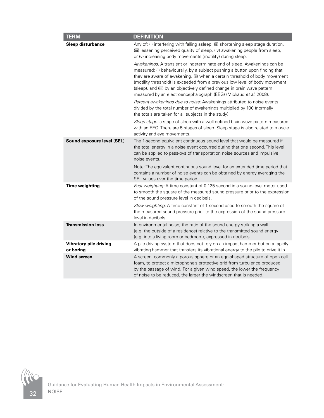| <b>TERM</b>                         | <b>DEFINITION</b>                                                                                                                                                                                                                                                                                                                                                                                                                                                        |
|-------------------------------------|--------------------------------------------------------------------------------------------------------------------------------------------------------------------------------------------------------------------------------------------------------------------------------------------------------------------------------------------------------------------------------------------------------------------------------------------------------------------------|
| Sleep disturbance                   | Any of: (i) interfering with falling asleep, (ii) shortening sleep stage duration,<br>(iii) lessening perceived quality of sleep, (iv) awakening people from sleep,<br>or (v) increasing body movements (motility) during sleep.                                                                                                                                                                                                                                         |
|                                     | Awakenings: A transient or indeterminate end of sleep. Awakenings can be<br>measured: (i) behaviourally, by a subject pushing a button upon finding that<br>they are aware of awakening, (ii) when a certain threshold of body movement<br>(motility threshold) is exceeded from a previous low level of body movement<br>(sleep), and (iii) by an objectively defined change in brain wave pattern<br>measured by an electroencephalograph (EEG) (Michaud et al. 2008). |
|                                     | Percent awakenings due to noise: Awakenings attributed to noise events<br>divided by the total number of awakenings multiplied by 100 (normally<br>the totals are taken for all subjects in the study).                                                                                                                                                                                                                                                                  |
|                                     | Sleep stage: a stage of sleep with a well-defined brain wave pattern measured<br>with an EEG. There are 5 stages of sleep. Sleep stage is also related to muscle<br>activity and eye movements.                                                                                                                                                                                                                                                                          |
| Sound exposure level (SEL)          | The 1-second equivalent continuous sound level that would be measured if<br>the total energy in a noise event occurred during that one second. This level<br>can be applied to pass-bys of transportation noise sources and impulsive<br>noise events.                                                                                                                                                                                                                   |
|                                     | Note: The equivalent continuous sound level for an extended time period that<br>contains a number of noise events can be obtained by energy averaging the<br>SEL values over the time period.                                                                                                                                                                                                                                                                            |
| <b>Time weighting</b>               | Fast weighting: A time constant of 0.125 second in a sound-level meter used<br>to smooth the square of the measured sound pressure prior to the expression<br>of the sound pressure level in decibels.                                                                                                                                                                                                                                                                   |
|                                     | Slow weighting: A time constant of 1 second used to smooth the square of<br>the measured sound pressure prior to the expression of the sound pressure<br>level in decibels.                                                                                                                                                                                                                                                                                              |
| <b>Transmission loss</b>            | In environmental noise, the ratio of the sound energy striking a wall<br>(e.g. the outside of a residence) relative to the transmitted sound energy<br>(e.g. into a living room or bedroom), expressed in decibels.                                                                                                                                                                                                                                                      |
| Vibratory pile driving<br>or boring | A pile driving system that does not rely on an impact hammer but on a rapidly<br>vibrating hammer that transfers its vibrational energy to the pile to drive it in.                                                                                                                                                                                                                                                                                                      |
| <b>Wind screen</b>                  | A screen, commonly a porous sphere or an egg-shaped structure of open cell<br>foam, to protect a microphone's protective grid from turbulence produced<br>by the passage of wind. For a given wind speed, the lower the frequency<br>of noise to be reduced, the larger the windscreen that is needed.                                                                                                                                                                   |

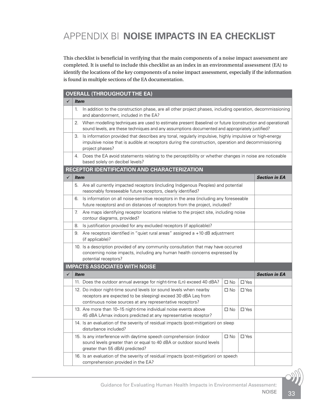# <span id="page-36-0"></span>APPENDIX B| **NOISE IMPACTS IN EA CHECKLIST**

This checklist is beneficial in verifying that the main components of a noise impact assessment are completed. It is useful to include this checklist as an index in an environmental assessment (EA) to identify the locations of the key components of a noise impact assessment, especially if the information is found in multiple sections of the EA documentation.

#### **OVERALL (THROUGHOUT THE EA)**

|   | <b>Item</b>                                                                                                               |                                                                                                                                                                                                                                  |              |               |                      |  |
|---|---------------------------------------------------------------------------------------------------------------------------|----------------------------------------------------------------------------------------------------------------------------------------------------------------------------------------------------------------------------------|--------------|---------------|----------------------|--|
|   | 1.                                                                                                                        | In addition to the construction phase, are all other project phases, including operation, decommissioning<br>and abandonment, included in the EA?                                                                                |              |               |                      |  |
|   | 2.                                                                                                                        | When modelling techniques are used to estimate present (baseline) or future (construction and operational)<br>sound levels, are these techniques and any assumptions documented and appropriately justified?                     |              |               |                      |  |
|   | 3.                                                                                                                        | Is information provided that describes any tonal, regularly impulsive, highly impulsive or high-energy<br>impulsive noise that is audible at receptors during the construction, operation and decommissioning<br>project phases? |              |               |                      |  |
|   |                                                                                                                           | 4. Does the EA avoid statements relating to the perceptibility or whether changes in noise are noticeable<br>based solely on decibel levels?                                                                                     |              |               |                      |  |
|   |                                                                                                                           | RECEPTOR IDENTIFICATION AND CHARACTERIZATION                                                                                                                                                                                     |              |               |                      |  |
| ✓ | Item                                                                                                                      |                                                                                                                                                                                                                                  |              |               | <b>Section in EA</b> |  |
|   | 5.                                                                                                                        | Are all currently impacted receptors (including Indigenous Peoples) and potential<br>reasonably foreseeable future receptors, clearly identified?                                                                                |              |               |                      |  |
|   | 6.                                                                                                                        | Is information on all noise-sensitive receptors in the area (including any foreseeable<br>future receptors) and on distances of receptors from the project, included?                                                            |              |               |                      |  |
|   | 7.                                                                                                                        | Are maps identifying receptor locations relative to the project site, including noise<br>contour diagrams, provided?                                                                                                             |              |               |                      |  |
|   | 8.                                                                                                                        | Is justification provided for any excluded receptors (if applicable)?                                                                                                                                                            |              |               |                      |  |
|   |                                                                                                                           | 9. Are receptors identified in "quiet rural areas" assigned a +10 dB adjustment<br>(if applicable)?                                                                                                                              |              |               |                      |  |
|   |                                                                                                                           | 10. Is a description provided of any community consultation that may have occurred<br>concerning noise impacts, including any human health concerns expressed by<br>potential receptors?                                         |              |               |                      |  |
|   |                                                                                                                           | <b>IMPACTS ASSOCIATED WITH NOISE</b>                                                                                                                                                                                             |              |               |                      |  |
| ✓ | Item                                                                                                                      |                                                                                                                                                                                                                                  |              |               | <b>Section in EA</b> |  |
|   |                                                                                                                           | 11. Does the outdoor annual average for night-time (Ln) exceed 40 dBA?                                                                                                                                                           | $\Box$ No    | $\square$ Yes |                      |  |
|   |                                                                                                                           | 12. Do indoor night-time sound levels (or sound levels when nearby<br>receptors are expected to be sleeping) exceed 30 dBA Leq from<br>continuous noise sources at any representative receptors?                                 | $\Box$ No    | $\Box$ Yes    |                      |  |
|   |                                                                                                                           | 13. Are more than 10–15 night-time individual noise events above<br>45 dBA LAmax indoors predicted at any representative receptor?                                                                                               | $\Box$ No    | $\Box$ Yes    |                      |  |
|   |                                                                                                                           | 14. Is an evaluation of the severity of residual impacts (post-mitigation) on sleep<br>disturbance included?                                                                                                                     |              |               |                      |  |
|   |                                                                                                                           | 15. Is any interference with daytime speech comprehension (indoor<br>sound levels greater than or equal to 40 dBA or outdoor sound levels<br>greater than 55 dBA) predicted?                                                     | $\square$ No | $\square$ Yes |                      |  |
|   | 16. Is an evaluation of the severity of residual impacts (post-mitigation) on speech<br>comprehension provided in the EA? |                                                                                                                                                                                                                                  |              |               |                      |  |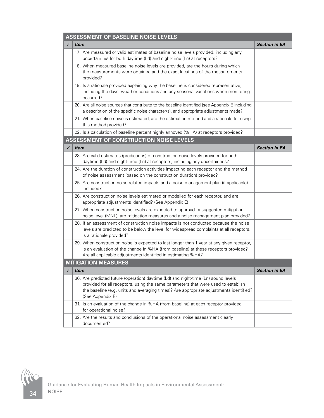| <b>ASSESSMENT OF BASELINE NOISE LEVELS</b> |                                                                                                                                                                                                                                                                                       |                             |  |  |
|--------------------------------------------|---------------------------------------------------------------------------------------------------------------------------------------------------------------------------------------------------------------------------------------------------------------------------------------|-----------------------------|--|--|
| ✓                                          | <i>Item</i>                                                                                                                                                                                                                                                                           | <b>Section in EA</b>        |  |  |
|                                            | 17. Are measured or valid estimates of baseline noise levels provided, including any<br>uncertainties for both daytime (Ld) and night-time (Ln) at receptors?                                                                                                                         |                             |  |  |
|                                            | 18. When measured baseline noise levels are provided, are the hours during which<br>the measurements were obtained and the exact locations of the measurements<br>provided?                                                                                                           |                             |  |  |
|                                            | 19. Is a rationale provided explaining why the baseline is considered representative,<br>including the days, weather conditions and any seasonal variations when monitoring<br>occurred?                                                                                              |                             |  |  |
|                                            | 20. Are all noise sources that contribute to the baseline identified (see Appendix E including<br>a description of the specific noise character(s), and appropriate adjustments made?                                                                                                 |                             |  |  |
|                                            | 21. When baseline noise is estimated, are the estimation method and a rationale for using<br>this method provided?                                                                                                                                                                    |                             |  |  |
|                                            | 22. Is a calculation of baseline percent highly annoyed (%HA) at receptors provided?                                                                                                                                                                                                  |                             |  |  |
|                                            | ASSESSMENT OF CONSTRUCTION NOISE LEVELS                                                                                                                                                                                                                                               |                             |  |  |
| $\checkmark$                               | <b>Item</b>                                                                                                                                                                                                                                                                           | <b>Section in EA</b>        |  |  |
|                                            | 23. Are valid estimates (predictions) of construction noise levels provided for both<br>daytime (Ld) and night-time (Ln) at receptors, including any uncertainties?                                                                                                                   |                             |  |  |
|                                            | 24. Are the duration of construction activities impacting each receptor and the method<br>of noise assessment (based on the construction duration) provided?                                                                                                                          |                             |  |  |
|                                            | 25. Are construction noise-related impacts and a noise management plan (if applicable)<br>included?                                                                                                                                                                                   |                             |  |  |
|                                            | 26. Are construction noise levels estimated or modelled for each receptor, and are<br>appropriate adjustments identified? (See Appendix E)                                                                                                                                            |                             |  |  |
|                                            | 27. When construction noise levels are expected to approach a suggested mitigation<br>noise level (MNL), are mitigation measures and a noise management plan provided?                                                                                                                |                             |  |  |
|                                            | 28. If an assessment of construction noise impacts is not conducted because the noise<br>levels are predicted to be below the level for widespread complaints at all receptors,<br>is a rationale provided?                                                                           |                             |  |  |
|                                            | 29. When construction noise is expected to last longer than 1 year at any given receptor,<br>is an evaluation of the change in %HA (from baseline) at these receptors provided?<br>Are all applicable adjustments identified in estimating %HA?                                       |                             |  |  |
|                                            | <b>MITIGATION MEASURES</b>                                                                                                                                                                                                                                                            |                             |  |  |
|                                            | <i><b>Item</b></i>                                                                                                                                                                                                                                                                    | <i><b>Section in EA</b></i> |  |  |
|                                            | 30. Are predicted future (operation) daytime (Ld) and night-time (Ln) sound levels<br>provided for all receptors, using the same parameters that were used to establish<br>the baseline (e.g. units and averaging times)? Are appropriate adjustments identified?<br>(See Appendix E) |                             |  |  |
|                                            | 31. Is an evaluation of the change in %HA (from baseline) at each receptor provided<br>for operational noise?                                                                                                                                                                         |                             |  |  |
|                                            | 32. Are the results and conclusions of the operational noise assessment clearly<br>documented?                                                                                                                                                                                        |                             |  |  |

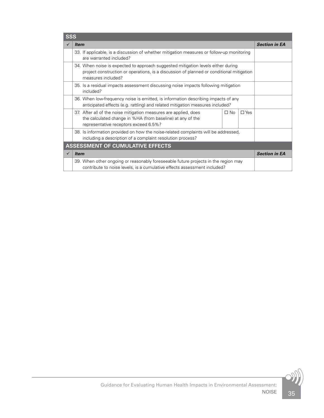| <b>SSS</b>                              |                                                                                                                                                                                                    |                      |  |  |
|-----------------------------------------|----------------------------------------------------------------------------------------------------------------------------------------------------------------------------------------------------|----------------------|--|--|
|                                         | <i>Item</i>                                                                                                                                                                                        | <b>Section in EA</b> |  |  |
|                                         | 33. If applicable, is a discussion of whether mitigation measures or follow-up monitoring<br>are warranted included?                                                                               |                      |  |  |
|                                         | 34. When noise is expected to approach suggested mitigation levels either during<br>project construction or operations, is a discussion of planned or conditional mitigation<br>measures included? |                      |  |  |
|                                         | 35. Is a residual impacts assessment discussing noise impacts following mitigation<br>included?                                                                                                    |                      |  |  |
|                                         | 36. When low-frequency noise is emitted, is information describing impacts of any<br>anticipated effects (e.g. rattling) and related mitigation measures included?                                 |                      |  |  |
|                                         | 37. After all of the noise mitigation measures are applied, does<br>$\Box$ No<br>$\Box$ Yes<br>the calculated change in %HA (from baseline) at any of the<br>representative receptors exceed 6.5%? |                      |  |  |
|                                         | 38. Is information provided on how the noise-related complaints will be addressed,<br>including a description of a complaint resolution process?                                                   |                      |  |  |
| <b>ASSESSMENT OF CUMULATIVE EFFECTS</b> |                                                                                                                                                                                                    |                      |  |  |
|                                         | <i>Item</i>                                                                                                                                                                                        | <b>Section in EA</b> |  |  |
|                                         | 39. When other ongoing or reasonably foreseeable future projects in the region may<br>contribute to noise levels, is a cumulative effects assessment included?                                     |                      |  |  |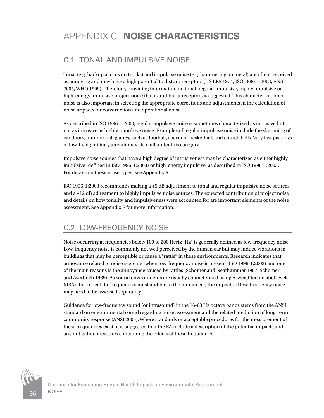# <span id="page-39-0"></span>C.1 TONAL AND IMPULSIVE NOISE

Tonal (e.g. backup alarms on trucks) and impulsive noise (e.g. hammering on metal) are often perceived as annoying and may have a high potential to disturb receptors (US EPA 1974, ISO 1996-1:2003, ANSI 2005, WHO 1999). Therefore, providing information on tonal, regular impulsive, highly impulsive or high-energy impulsive project noise that is audible at receptors is suggested. This characterization of noise is also important in selecting the appropriate corrections and adjustments in the calculation of noise impacts for construction and operational noise.

As described in ISO 1996-1:2003, regular impulsive noise is sometimes characterized as intrusive but not as intrusive as highly impulsive noise. Examples of regular impulsive noise include the slamming of car doors, outdoor ball games, such as football, soccer or basketball, and church bells. Very fast pass-bys of low-flying military aircraft may also fall under this category.

Impulsive noise sources that have a high degree of intrusiveness may be characterized as either highly impulsive (defined in ISO 1996-1:2003) or high-energy impulsive, as described in ISO 1996-1:2003. For details on these noise types, see Appendix A.

ISO 1996-1:2003 recommends making a +5 dB adjustment to tonal and regular impulsive noise sources and a +12 dB adjustment to highly impulsive noise sources. The expected contribution of project noise and details on how tonality and impulsiveness were accounted for are important elements of the noise assessment. See Appendix F for more information.

# C.2 LOW-FREQUENCY NOISE

Noise occurring at frequencies below 100 to 200 Hertz (Hz) is generally defined as low-frequency noise. Low-frequency noise is commonly not well perceived by the human ear but may induce vibrations in buildings that may be perceptible or cause a "rattle" in these environments. Research indicates that annoyance related to noise is greater when low-frequency noise is present (ISO 1996-1:2003) and one of the main reasons is the annoyance caused by rattles (Schomer and Neathammer 1987; Schomer and Averbuch 1989). As sound environments are usually characterized using A-weighted decibel levels (dBA) that reflect the frequencies most audible to the human ear, the impacts of low-frequency noise may need to be assessed separately.

Guidance for low-frequency sound (or infrasound) in the 16-63 Hz octave bands stems from the ANSI standard on environmental sound regarding noise assessment and the related prediction of long-term community response (ANSI 2005). Where standards or acceptable procedures for the measurement of these frequencies exist, it is suggested that the EA include a description of the potential impacts and any mitigation measures concerning the effects of these frequencies.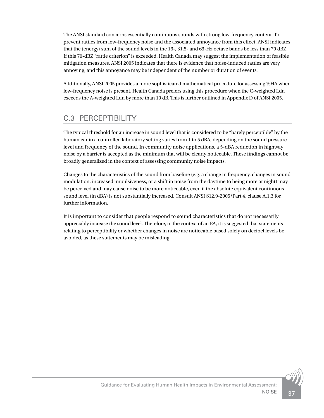The ANSI standard concerns essentially continuous sounds with strong low-frequency content. To prevent rattles from low-frequency noise and the associated annoyance from this effect, ANSI indicates that the (energy) sum of the sound levels in the 16-, 31.5- and 63-Hz octave bands be less than 70 dBZ. If this 70-dBZ "rattle criterion" is exceeded, Health Canada may suggest the implementation of feasible mitigation measures. ANSI 2005 indicates that there is evidence that noise-induced rattles are very annoying, and this annoyance may be independent of the number or duration of events.

Additionally, ANSI 2005 provides a more sophisticated mathematical procedure for assessing %HA when low-frequency noise is present. Health Canada prefers using this procedure when the C-weighted Ldn exceeds the A-weighted Ldn by more than 10 dB. This is further outlined in Appendix D of ANSI 2005.

# C.3 PERCEPTIBILITY

The typical threshold for an increase in sound level that is considered to be "barely perceptible" by the human ear in a controlled laboratory setting varies from 1 to 5 dBA, depending on the sound pressure level and frequency of the sound. In community noise applications, a 5-dBA reduction in highway noise by a barrier is accepted as the minimum that will be clearly noticeable. These findings cannot be broadly generalized in the context of assessing community noise impacts.

Changes to the characteristics of the sound from baseline (e.g. a change in frequency, changes in sound modulation, increased impulsiveness, or a shift in noise from the daytime to being more at night) may be perceived and may cause noise to be more noticeable, even if the absolute equivalent continuous sound level (in dBA) is not substantially increased. Consult ANSI S12.9-2005/Part 4, clause A.1.3 for further information.

It is important to consider that people respond to sound characteristics that do not necessarily appreciably increase the sound level. Therefore, in the context of an EA, it is suggested that statements relating to perceptibility or whether changes in noise are noticeable based solely on decibel levels be avoided, as these statements may be misleading.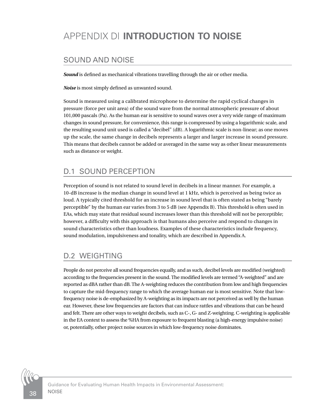# <span id="page-41-0"></span>APPENDIX D| **INTRODUCTION TO NOISE**

### SOUND AND NOISE

*Sound* is defined as mechanical vibrations travelling through the air or other media.

*Noise* is most simply defined as unwanted sound.

Sound is measured using a calibrated microphone to determine the rapid cyclical changes in pressure (force per unit area) of the sound wave from the normal atmospheric pressure of about 101,000 pascals (Pa). As the human ear is sensitive to sound waves over a very wide range of maximum changes in sound pressure, for convenience, this range is compressed by using a logarithmic scale, and the resulting sound unit used is called a "decibel" (dB). A logarithmic scale is non-linear; as one moves up the scale, the same change in decibels represents a larger and larger increase in sound pressure. This means that decibels cannot be added or averaged in the same way as other linear measurements such as distance or weight.

# D.1 SOUND PERCEPTION

Perception of sound is not related to sound level in decibels in a linear manner. For example, a 10-dB increase is the median change in sound level at 1 kHz, which is perceived as being twice as loud. A typically cited threshold for an increase in sound level that is often stated as being "barely perceptible" by the human ear varies from 3 to 5 dB (see Appendix B). This threshold is often used in EAs, which may state that residual sound increases lower than this threshold will not be perceptible; however, a difficulty with this approach is that humans also perceive and respond to changes in sound characteristics other than loudness. Examples of these characteristics include frequency, sound modulation, impulsiveness and tonality, which are described in Appendix A.

# D.2 WEIGHTING

People do not perceive all sound frequencies equally, and as such, decibel levels are modified (weighted) according to the frequencies present in the sound. The modified levels are termed "A-weighted" and are reported as dBA rather than dB. The A-weighting reduces the contribution from low and high frequencies to capture the mid-frequency range to which the average human ear is most sensitive. Note that lowfrequency noise is de-emphasized by A-weighting as its impacts are not perceived as well by the human ear. However, these low frequencies are factors that can induce rattles and vibrations that can be heard and felt. There are other ways to weight decibels, such as C-, G- and Z-weighting. C-weighting is applicable in the EA context to assess the %HA from exposure to frequent blasting (a high-energy impulsive noise) or, potentially, other project noise sources in which low-frequency noise dominates.

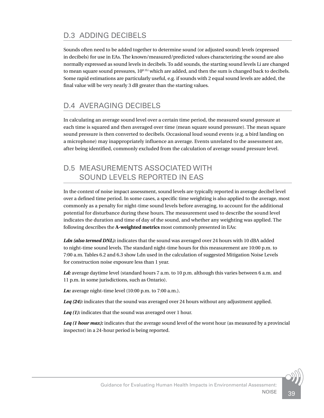# D.3 ADDING DECIBELS

Sounds often need to be added together to determine sound (or adjusted sound) levels (expressed in decibels) for use in EAs. The known/measured/predicted values characterizing the sound are also normally expressed as sound levels in decibels. To add sounds, the starting sound levels Li are changed to mean square sound pressures,  $10^{0.1Li}$  which are added, and then the sum is changed back to decibels. Some rapid estimations are particularly useful, e.g. if sounds with 2 equal sound levels are added, the final value will be very nearly 3 dB greater than the starting values.

# D.4 AVERAGING DECIBELS

In calculating an average sound level over a certain time period, the measured sound pressure at each time is squared and then averaged over time (mean square sound pressure). The mean square sound pressure is then converted to decibels. Occasional loud sound events (e.g. a bird landing on a microphone) may inappropriately influence an average. Events unrelated to the assessment are, after being identified, commonly excluded from the calculation of average sound pressure level.

#### D.5 MEASUREMENTS ASSOCIATED WITH SOUND LEVELS REPORTED IN EAS

In the context of noise impact assessment, sound levels are typically reported in average decibel level over a defined time period. In some cases, a specific time weighting is also applied to the average, most commonly as a penalty for night-time sound levels before averaging, to account for the additional potential for disturbance during these hours. The measurement used to describe the sound level indicates the duration and time of day of the sound, and whether any weighting was applied. The following describes the **A-weighted metrics** most commonly presented in EAs:

Ldn (also termed DNL): indicates that the sound was averaged over 24 hours with 10 dBA added to night-time sound levels. The standard night-time hours for this measurement are 10:00 p.m. to 7:00 a.m. Tables 6.2 and 6.3 show Ldn used in the calculation of suggested Mitigation Noise Levels for construction noise exposure less than 1 year.

Ld: average daytime level (standard hours 7 a.m. to 10 p.m. although this varies between 6 a.m. and 11 p.m. in some jurisdictions, such as Ontario).

*Ln:* average night-time level (10:00 p.m. to 7:00 a.m.).

*Leq (24):* indicates that the sound was averaged over 24 hours without any adjustment applied.

*Leq (1):* indicates that the sound was averaged over 1 hour.

Leq (1 hour max): indicates that the average sound level of the worst hour (as measured by a provincial inspector) in a 24-hour period is being reported.

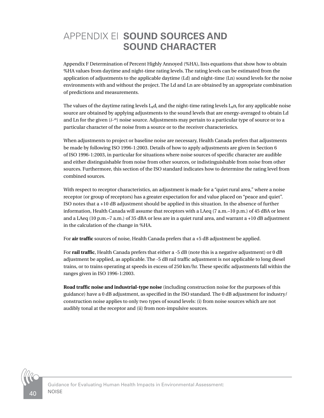# <span id="page-43-0"></span>APPENDIX E| **SOUND SOURCES AND SOUND CHARACTER**

Appendix F Determination of Percent Highly Annoyed (%HA), lists equations that show how to obtain %HA values from daytime and night-time rating levels. The rating levels can be estimated from the application of adjustments to the applicable daytime (Ld) and night-time (Ln) sound levels for the noise environments with and without the project. The Ld and Ln are obtained by an appropriate combination of predictions and measurements.

The values of the daytime rating levels  $L_R$ d<sub>i</sub> and the night-time rating levels  $L_Rn_i$  for any applicable noise source are obtained by applying adjustments to the sound levels that are energy-averaged to obtain Ld and Ln for the given (*i-th*) noise source. Adjustments may pertain to a particular type of source or to a particular character of the noise from a source or to the receiver characteristics.

When adjustments to project or baseline noise are necessary, Health Canada prefers that adjustments be made by following ISO 1996-1:2003. Details of how to apply adjustments are given in Section 6 of ISO 1996-1:2003, in particular for situations where noise sources of specific character are audible and either distinguishable from noise from other sources, or indistinguishable from noise from other sources. Furthermore, this section of the ISO standard indicates how to determine the rating level from combined sources.

With respect to receptor characteristics, an adjustment is made for a "quiet rural area," where a noise receptor (or group of receptors) has a greater expectation for and value placed on "peace and quiet". ISO notes that a +10 dB adjustment should be applied in this situation. In the absence of further information, Health Canada will assume that receptors with a LAeq (7 a.m.–10 p.m.) of 45 dBA or less and a LAeq (10 p.m.–7 a.m.) of 35 dBA or less are in a quiet rural area, and warrant a +10 dB adjustment in the calculation of the change in %HA.

For **air traffic** sources of noise, Health Canada prefers that a +5 dB adjustment be applied.

For **rail traffic**, Health Canada prefers that either a -5 dB (note this is a negative adjustment) or 0 dB adjustment be applied, as applicable. The -5 dB rail traffic adjustment is not applicable to long diesel trains, or to trains operating at speeds in excess of 250 km/hr. These specific adjustments fall within the ranges given in ISO 1996-1:2003.

**Road traffic noise and industrial-type noise** (including construction noise for the purposes of this guidance) have a 0 dB adjustment, as specified in the ISO standard. The 0 dB adjustment for industry/ construction noise applies to only two types of sound levels: (i) from noise sources which are not audibly tonal at the receptor and (ii) from non-impulsive sources.

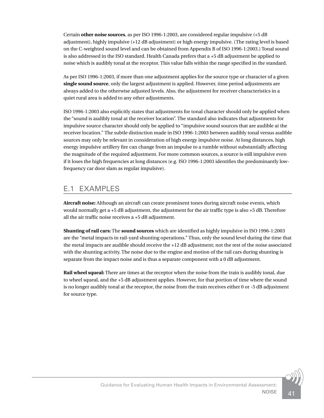Certain **other noise sources**, as per ISO 1996-1:2003, are considered regular impulsive (+5 dB adjustment), highly impulsive (+12 dB adjustment) or high energy impulsive. (The rating level is based on the C-weighted sound level and can be obtained from Appendix B of ISO 1996-1:2003.) Tonal sound is also addressed in the ISO standard. Health Canada prefers that a +5 dB adjustment be applied to noise which is audibly tonal at the receptor. This value falls within the range specified in the standard.

As per ISO 1996-1:2003, if more than one adjustment applies for the source type or character of a given **single sound source**, only the largest adjustment is applied. However, time period adjustments are always added to the otherwise adjusted levels. Also, the adjustment for receiver characteristics in a quiet rural area is added to any other adjustments.

ISO 1996-1:2003 also explicitly states that adjustments for tonal character should only be applied when the "sound is audibly tonal at the receiver location". The standard also indicates that adjustments for impulsive source character should only be applied to "impulsive sound sources that are audible at the receiver location." The subtle distinction made in ISO 1996-1:2003 between audibly tonal versus audible sources may only be relevant in consideration of high energy impulsive noise. At long distances, high energy impulsive artillery fire can change from an impulse to a rumble without substantially affecting the magnitude of the required adjustment. For more common sources, a source is still impulsive even if it loses the high frequencies at long distances (e.g. ISO 1996-1:2003 identifies the predominantly lowfrequency car door slam as regular impulsive).

#### E.1 EXAMPLES

**Aircraft noise:** Although an aircraft can create prominent tones during aircraft noise events, which would normally get a +5 dB adjustment, the adjustment for the air traffic type is also +5 dB. Therefore all the air traffic noise receives a +5 dB adjustment.

**Shunting of rail cars:** The **sound sources** which are identified as highly impulsive in ISO 1996-1:2003 are the "metal impacts in rail-yard shunting operations." Thus, only the sound level during the time that the metal impacts are audible should receive the +12 dB adjustment; not the rest of the noise associated with the shunting activity. The noise due to the engine and motion of the rail cars during shunting is separate from the impact noise and is thus a separate component with a 0 dB adjustment.

**Rail wheel squeal:** There are times at the receptor when the noise from the train is audibly tonal, due to wheel squeal, and the +5 dB adjustment applies. However, for that portion of time where the sound is no longer audibly tonal at the receptor, the noise from the train receives either 0 or -5 dB adjustment for source type.

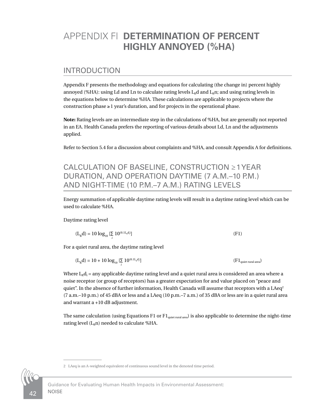# <span id="page-45-0"></span>APPENDIX F| **DETERMINATION OF PERCENT HIGHLY ANNOYED (%HA)**

#### INTRODUCTION

Appendix F presents the methodology and equations for calculating (the change in) percent highly annoyed (%HA): using Ld and Ln to calculate rating levels  $L<sub>R</sub>$ d and  $L<sub>R</sub>$ n; and using rating levels in the equations below to determine %HA. These calculations are applicable to projects where the construction phase ≥1 year's duration, and for projects in the operational phase.

**Note:** Rating levels are an intermediate step in the calculations of %HA, but are generally not reported in an EA. Health Canada prefers the reporting of various details about Ld, Ln and the adjustments applied.

Refer to Section 5.4 for a discussion about complaints and %HA, and consult Appendix A for definitions.

### CALCULATION OF BASELINE, CONSTRUCTION ≥1 YEAR DURATION, AND OPERATION DAYTIME (7 A.M.–10 P.M.) AND NIGHT-TIME (10 P.M.–7 A.M.) RATING LEVELS

Energy summation of applicable daytime rating levels will result in a daytime rating level which can be used to calculate %HA.

Daytime rating level

$$
(LRd) = 10 log10 [\Sigma 10(0.1LRdi)]
$$
 (F1)

For a quiet rural area, the daytime rating level

$$
(L_{R}d) = 10 + 10 \log_{10} \left[ \sum_{i} 10^{(0.11_{n}d_{i})} \right]
$$
 (F1<sub>quiet rural area</sub>)

Where  $\rm L_{\scriptscriptstyle R} d_{\scriptscriptstyle I}$  = any applicable daytime rating level and a quiet rural area is considered an area where a noise receptor (or group of receptors) has a greater expectation for and value placed on "peace and quiet". In the absence of further information, Health Canada will assume that receptors with a LAeq<sup>2</sup> (7 a.m.–10 p.m.) of 45 dBA or less and a LAeq (10 p.m.–7 a.m.) of 35 dBA or less are in a quiet rural area and warrant a +10 dB adjustment.

The same calculation (using Equations F1 or F1<sub>quiet rural area</sub>) is also applicable to determine the night-time rating level  $(L<sub>R</sub>n)$  needed to calculate %HA.



Guidance for Evaluating Human Health Impacts in Environmental Assessment: NOISE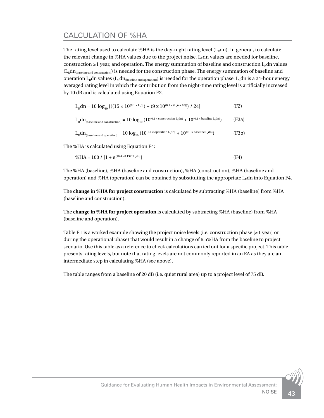# CALCULATION OF %HA

The rating level used to calculate %HA is the day-night rating level  $(L<sub>n</sub>dn)$ . In general, to calculate the relevant change in %HA values due to the project noise,  $L<sub>R</sub>$ dn values are needed for baseline, construction ≥1 year, and operation. The energy summation of baseline and construction  $L<sub>R</sub>$ dn values  $(L<sub>R</sub>dn<sub>baseline and construction</sub>)$  is needed for the construction phase. The energy summation of baseline and operation L<sub>R</sub>dn values (L<sub>R</sub>dn<sub>(baseline and operation)</sub>) is needed for the operation phase. L<sub>R</sub>dn is a 24-hour energy averaged rating level in which the contribution from the night-time rating level is artificially increased by 10 dB and is calculated using Equation E2.

$$
L_{R}dn = 10 \log_{10} \left[ \left( (15 \times 10^{(0.1 \times L_{R}d)}) + (9 \times 10^{(0.1 \times (L_{R}n + 10))}) / 24 \right] \right]
$$
 (F2)

$$
L_{\text{R}} dn_{\text{(baseline and construction)}} = 10\log_{10}\left(10^{(0.1\times\,\text{construction}\,L_{\text{R}}dn)}+10^{(0.1\times\,\text{baseline}\,L_{\text{R}}dn)}\right)\tag{F3a}
$$

$$
L_{\text{R}}dn_{\text{(baseline and operation)}}=10\text{ log}_{10}\left(10^{(0.1\times \text{operation }L_{\text{R}}dn)}+10^{(0.1\times \text{baseline }L_{\text{R}}dn)}\right)\text{ \qquad (F3b)}
$$

The %HA is calculated using Equation F4:

$$
\%HA = 100 / [1 + e^{(10.4 - 0.132^* L_g dn)}]
$$
 (F4)

The %HA (baseline), %HA (baseline and construction), %HA (construction), %HA (baseline and operation) and %HA (operation) can be obtained by substituting the appropriate  $L<sub>R</sub>$ dn into Equation F4.

The **change in %HA for project construction** is calculated by subtracting %HA (baseline) from %HA (baseline and construction).

The **change in %HA for project operation** is calculated by subtracting %HA (baseline) from %HA (baseline and operation).

Table F.1 is a worked example showing the project noise levels (i.e. construction phase [≥1 year] or during the operational phase) that would result in a change of 6.5%HA from the baseline to project scenario. Use this table as a reference to check calculations carried out for a specific project. This table presents rating levels, but note that rating levels are not commonly reported in an EA as they are an intermediate step in calculating %HA (see above).

The table ranges from a baseline of 20 dB (i.e. quiet rural area) up to a project level of 75 dB.

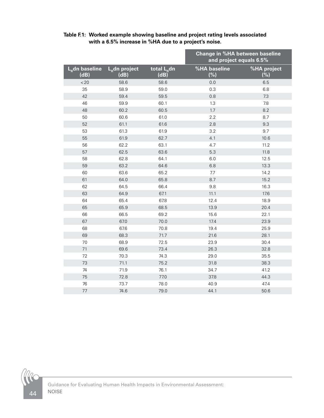|                          |                            |                                 | <b>Change in %HA between baseline</b><br>and project equals 6.5% |                    |
|--------------------------|----------------------------|---------------------------------|------------------------------------------------------------------|--------------------|
| $LR$ dn baseline<br>(dB) | $L_{R}$ dn project<br>(dB) | total L <sub>R</sub> dn<br>(dB) | %HA baseline<br>(%)                                              | %HA project<br>(%) |
| < 20                     | 58.6                       | 58.6                            | 0.0                                                              | 6.5                |
| 35                       | 58.9                       | 59.0                            | 0.3                                                              | 6.8                |
| 42                       | 59.4                       | 59.5                            | 0.8                                                              | 7.3                |
| 46                       | 59.9                       | 60.1                            | 1.3                                                              | 7.8                |
| 48                       | 60.2                       | 60.5                            | 1.7                                                              | 8.2                |
| 50                       | 60.6                       | 61.0                            | 2.2                                                              | 8.7                |
| 52                       | 61.1                       | 61.6                            | 2.8                                                              | 9.3                |
| 53                       | 61.3                       | 61.9                            | 3.2                                                              | 9.7                |
| 55                       | 61.9                       | 62.7                            | 4.1                                                              | 10.6               |
| 56                       | 62.2                       | 63.1                            | 4.7                                                              | 11.2               |
| 57                       | 62.5                       | 63.6                            | 5.3                                                              | 11.8               |
| 58                       | 62.8                       | 64.1                            | 6.0                                                              | 12.5               |
| 59                       | 63.2                       | 64.6                            | 6.8                                                              | 13.3               |
| 60                       | 63.6                       | 65.2                            | 7.7                                                              | 14.2               |
| 61                       | 64.0                       | 65.8                            | 8.7                                                              | 15.2               |
| 62                       | 64.5                       | 66.4                            | 9.8                                                              | 16.3               |
| 63                       | 64.9                       | 67.1                            | 11.1                                                             | 17.6               |
| 64                       | 65.4                       | 67.8                            | 12.4                                                             | 18.9               |
| 65                       | 65.9                       | 68.5                            | 13.9                                                             | 20.4               |
| 66                       | 66.5                       | 69.2                            | 15.6                                                             | 22.1               |
| 67                       | 67.0                       | 70.0                            | 17.4                                                             | 23.9               |
| 68                       | 67.6                       | 70.8                            | 19.4                                                             | 25.9               |
| 69                       | 68.3                       | 71.7                            | 21.6                                                             | 28.1               |
| 70                       | 68.9                       | 72.5                            | 23.9                                                             | 30.4               |
| 71                       | 69.6                       | 73.4                            | 26.3                                                             | 32.8               |
| 72                       | 70.3                       | 74.3                            | 29.0                                                             | 35.5               |
| 73                       | 71.1                       | 75.2                            | 31.8                                                             | 38.3               |
| 74                       | 71.9                       | 76.1                            | 34.7                                                             | 41.2               |
| 75                       | 72.8                       | 77.0                            | 37.8                                                             | 44.3               |
| 76                       | 73.7                       | 78.0                            | 40.9                                                             | 47.4               |
| $77$                     | 74.6                       | 79.0                            | 44.1                                                             | 50.6               |

#### **Table F.1: Worked example showing baseline and project rating levels associated with a 6.5% increase in %HA due to a project's noise.**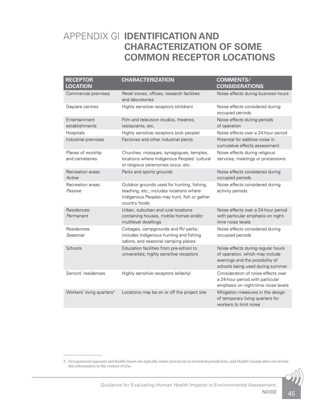# <span id="page-48-0"></span>APPENDIX G| **IDENTIFICATION AND CHARACTERIZATION OF SOME COMMON RECEPTOR LOCATIONS**

| <b>RECEPTOR</b><br><b>LOCATION</b>    | <b>CHARACTERIZATION</b>                                                                                                                                | <b>COMMENTS/</b><br><b>CONSIDERATIONS</b>                                                                                                    |
|---------------------------------------|--------------------------------------------------------------------------------------------------------------------------------------------------------|----------------------------------------------------------------------------------------------------------------------------------------------|
| Commercial premises                   | Retail stores, offices, research facilities<br>and laboratories                                                                                        | Noise effects during business hours                                                                                                          |
| Daycare centres                       | Highly sensitive receptors (children)                                                                                                                  | Noise effects considered during<br>occupied periods                                                                                          |
| Entertainment<br>establishments       | Film and television studios, theatres,<br>restaurants, etc.                                                                                            | Noise effects during periods<br>of operation                                                                                                 |
| Hospitals                             | Highly sensitive receptors (sick people)                                                                                                               | Noise effects over a 24-hour period                                                                                                          |
| Industrial premises                   | Factories and other industrial plants                                                                                                                  | Potential for additive noise in<br>cumulative effects assessment                                                                             |
| Places of worship<br>and cemeteries   | Churches, mosques, synagogues, temples,<br>locations where Indigenous Peoples' cultural<br>or religious ceremonies occur, etc.                         | Noise effects during religious<br>services, meetings or processions                                                                          |
| Recreation areas:<br>Active           | Parks and sports grounds                                                                                                                               | Noise effects considered during<br>occupied periods                                                                                          |
| Recreation areas:<br>Passive          | Outdoor grounds used for hunting, fishing,<br>teaching, etc.; includes locations where<br>Indigenous Peoples may hunt, fish or gather<br>country foods | Noise effects considered during<br>activity periods                                                                                          |
| Residences:<br>Permanent              | Urban, suburban and rural locations<br>containing houses, mobile homes and/or<br>multilevel dwellings                                                  | Noise effects over a 24-hour period<br>with particular emphasis on night-<br>time noise levels                                               |
| Residences:<br>Seasonal               | Cottages, campgrounds and RV parks;<br>includes Indigenous hunting and fishing<br>cabins, and seasonal camping places                                  | Noise effects considered during<br>occupied periods                                                                                          |
| Schools                               | Education facilities from pre-school to<br>universities; highly sensitive receptors                                                                    | Noise effects during regular hours<br>of operation, which may include<br>evenings and the possibility of<br>schools being used during summer |
| Seniors' residences                   | Highly sensitive receptors (elderly)                                                                                                                   | Consideration of noise effects over<br>a 24-hour period with particular<br>emphasis on night-time noise levels                               |
| Workers' living quarters <sup>3</sup> | Locations may be on or off the project site                                                                                                            | Mitigation measures in the design<br>of temporary living quarters for<br>workers to limit noise                                              |

3 Occupational exposure and health issues are typically under provincial or territorial jurisdiction, and Health Canada does not review this information in the context of EAs.

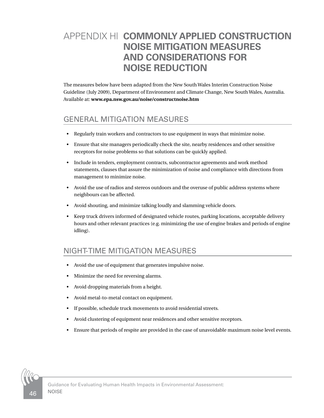# <span id="page-49-0"></span>APPENDIX H| **COMMONLY APPLIED CONSTRUCTION NOISE MITIGATION MEASURES AND CONSIDERATIONS FOR NOISE REDUCTION**

The measures below have been adapted from the New South Wales Interim Construction Noise Guideline (July 2009), Department of Environment and Climate Change, New South Wales, Australia. Available at: **www.epa.nsw.gov.au/noise/constructnoise.htm**

# GENERAL MITIGATION MEASURES

- Regularly train workers and contractors to use equipment in ways that minimize noise.
- Ensure that site managers periodically check the site, nearby residences and other sensitive receptors for noise problems so that solutions can be quickly applied.
- Include in tenders, employment contracts, subcontractor agreements and work method statements, clauses that assure the minimization of noise and compliance with directions from management to minimize noise.
- Avoid the use of radios and stereos outdoors and the overuse of public address systems where neighbours can be affected.
- Avoid shouting, and minimize talking loudly and slamming vehicle doors.
- Keep truck drivers informed of designated vehicle routes, parking locations, acceptable delivery hours and other relevant practices (e.g. minimizing the use of engine brakes and periods of engine idling).

#### NIGHT-TIME MITIGATION MEASURES

- Avoid the use of equipment that generates impulsive noise.
- Minimize the need for reversing alarms.
- Avoid dropping materials from a height.
- Avoid metal-to-metal contact on equipment.
- If possible, schedule truck movements to avoid residential streets.
- Avoid clustering of equipment near residences and other sensitive receptors.
- Ensure that periods of respite are provided in the case of unavoidable maximum noise level events.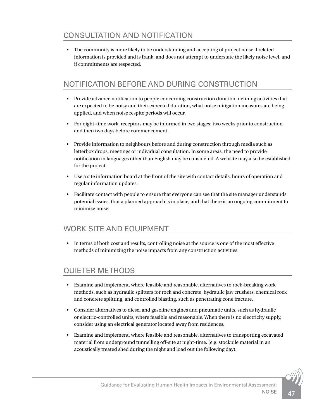# CONSULTATION AND NOTIFICATION

• The community is more likely to be understanding and accepting of project noise if related information is provided and is frank, and does not attempt to understate the likely noise level, and if commitments are respected.

# NOTIFICATION BEFORE AND DURING CONSTRUCTION

- Provide advance notification to people concerning construction duration, defining activities that are expected to be noisy and their expected duration, what noise mitigation measures are being applied, and when noise respite periods will occur.
- For night-time work, receptors may be informed in two stages: two weeks prior to construction and then two days before commencement.
- Provide information to neighbours before and during construction through media such as letterbox drops, meetings or individual consultation. In some areas, the need to provide notification in languages other than English may be considered. A website may also be established for the project.
- Use a site information board at the front of the site with contact details, hours of operation and regular information updates.
- Facilitate contact with people to ensure that everyone can see that the site manager understands potential issues, that a planned approach is in place, and that there is an ongoing commitment to minimize noise.

#### WORK SITE AND EQUIPMENT

• In terms of both cost and results, controlling noise at the source is one of the most effective methods of minimizing the noise impacts from any construction activities.

### QUIETER METHODS

- Examine and implement, where feasible and reasonable, alternatives to rock-breaking work methods, such as hydraulic splitters for rock and concrete, hydraulic jaw crushers, chemical rock and concrete splitting, and controlled blasting, such as penetrating cone fracture.
- Consider alternatives to diesel and gasoline engines and pneumatic units, such as hydraulic or electric-controlled units, where feasible and reasonable. When there is no electricity supply, consider using an electrical generator located away from residences.
- Examine and implement, where feasible and reasonable, alternatives to transporting excavated material from underground tunnelling off-site at night-time. (e.g. stockpile material in an acoustically treated shed during the night and load out the following day).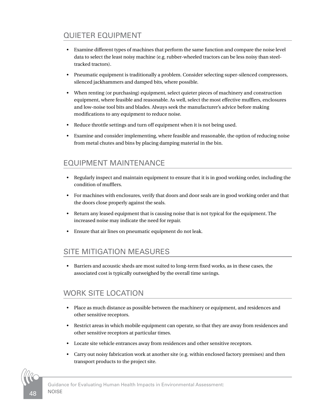# QUIETER EQUIPMENT

- Examine different types of machines that perform the same function and compare the noise level data to select the least noisy machine (e.g. rubber-wheeled tractors can be less noisy than steeltracked tractors).
- Pneumatic equipment is traditionally a problem. Consider selecting super-silenced compressors, silenced jackhammers and damped bits, where possible.
- When renting (or purchasing) equipment, select quieter pieces of machinery and construction equipment, where feasible and reasonable. As well, select the most effective mufflers, enclosures and low-noise tool bits and blades. Always seek the manufacturer's advice before making modifications to any equipment to reduce noise.
- Reduce throttle settings and turn off equipment when it is not being used.
- Examine and consider implementing, where feasible and reasonable, the option of reducing noise from metal chutes and bins by placing damping material in the bin.

# EQUIPMENT MAINTENANCE

- Regularly inspect and maintain equipment to ensure that it is in good working order, including the condition of mufflers.
- For machines with enclosures, verify that doors and door seals are in good working order and that the doors close properly against the seals.
- Return any leased equipment that is causing noise that is not typical for the equipment. The increased noise may indicate the need for repair.
- Ensure that air lines on pneumatic equipment do not leak.

### SITE MITIGATION MEASURES

• Barriers and acoustic sheds are most suited to long-term fixed works, as in these cases, the associated cost is typically outweighed by the overall time savings.

### WORK SITE LOCATION

- Place as much distance as possible between the machinery or equipment, and residences and other sensitive receptors.
- Restrict areas in which mobile equipment can operate, so that they are away from residences and other sensitive receptors at particular times.
- Locate site vehicle entrances away from residences and other sensitive receptors.
- Carry out noisy fabrication work at another site (e.g. within enclosed factory premises) and then transport products to the project site.



Guidance for Evaluating Human Health Impacts in Environmental Assessment: **NOISE**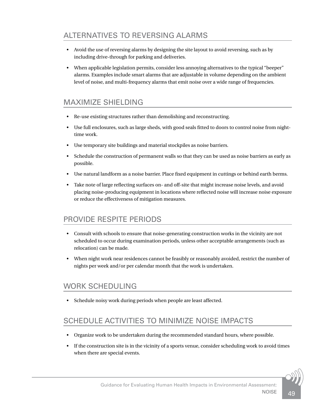# ALTERNATIVES TO REVERSING ALARMS

- Avoid the use of reversing alarms by designing the site layout to avoid reversing, such as by including drive-through for parking and deliveries.
- When applicable legislation permits, consider less annoying alternatives to the typical "beeper" alarms. Examples include smart alarms that are adjustable in volume depending on the ambient level of noise, and multi-frequency alarms that emit noise over a wide range of frequencies.

#### MAXIMIZE SHIELDING

- Re-use existing structures rather than demolishing and reconstructing.
- Use full enclosures, such as large sheds, with good seals fitted to doors to control noise from nighttime work.
- Use temporary site buildings and material stockpiles as noise barriers.
- Schedule the construction of permanent walls so that they can be used as noise barriers as early as possible.
- Use natural landform as a noise barrier. Place fixed equipment in cuttings or behind earth berms.
- Take note of large reflecting surfaces on- and off-site that might increase noise levels, and avoid placing noise-producing equipment in locations where reflected noise will increase noise exposure or reduce the effectiveness of mitigation measures.

#### PROVIDE RESPITE PERIODS

- Consult with schools to ensure that noise-generating construction works in the vicinity are not scheduled to occur during examination periods, unless other acceptable arrangements (such as relocation) can be made.
- When night work near residences cannot be feasibly or reasonably avoided, restrict the number of nights per week and/or per calendar month that the work is undertaken.

#### WORK SCHEDULING

• Schedule noisy work during periods when people are least affected.

#### SCHEDULE ACTIVITIES TO MINIMIZE NOISE IMPACTS

- Organize work to be undertaken during the recommended standard hours, where possible.
- If the construction site is in the vicinity of a sports venue, consider scheduling work to avoid times when there are special events.